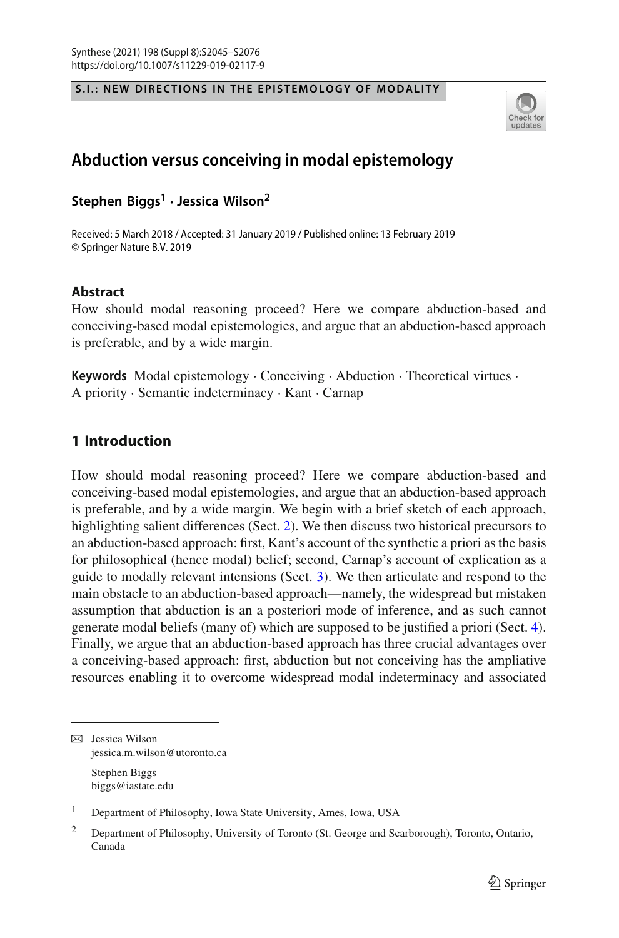$\mathcal{S}$  . In the extension of  $\mathcal{S}$  is the extension of  $\mathcal{S}$  . In the extension of  $\mathcal{S}$ 



# **Abduction versus conceiving in modal epistemology**

**Stephen Biggs<sup>1</sup> · Jessica Wilson2**

Received: 5 March 2018 / Accepted: 31 January 2019 / Published online: 13 February 2019 © Springer Nature B.V. 2019

### **Abstract**

How should modal reasoning proceed? Here we compare abduction-based and conceiving-based modal epistemologies, and argue that an abduction-based approach is preferable, and by a wide margin.

**Keywords** Modal epistemology · Conceiving · Abduction · Theoretical virtues · A priority · Semantic indeterminacy · Kant · Carnap

# **1 Introduction**

How should modal reasoning proceed? Here we compare abduction-based and conceiving-based modal epistemologies, and argue that an abduction-based approach is preferable, and by a wide margin. We begin with a brief sketch of each approach, highlighting salient differences (Sect. [2\)](#page-2-0). We then discuss two historical precursors to an abduction-based approach: first, Kant's account of the synthetic a priori as the basis for philosophical (hence modal) belief; second, Carnap's account of explication as a guide to modally relevant intensions (Sect. [3\)](#page-5-0). We then articulate and respond to the main obstacle to an abduction-based approach—namely, the widespread but mistaken assumption that abduction is an a posteriori mode of inference, and as such cannot generate modal beliefs (many of) which are supposed to be justified a priori (Sect. [4\)](#page-10-0). Finally, we argue that an abduction-based approach has three crucial advantages over a conceiving-based approach: first, abduction but not conceiving has the ampliative resources enabling it to overcome widespread modal indeterminacy and associated

 $\boxtimes$  Jessica Wilson jessica.m.wilson@utoronto.ca Stephen Biggs biggs@iastate.edu

<sup>1</sup> Department of Philosophy, Iowa State University, Ames, Iowa, USA

<sup>&</sup>lt;sup>2</sup> Department of Philosophy, University of Toronto (St. George and Scarborough), Toronto, Ontario, Canada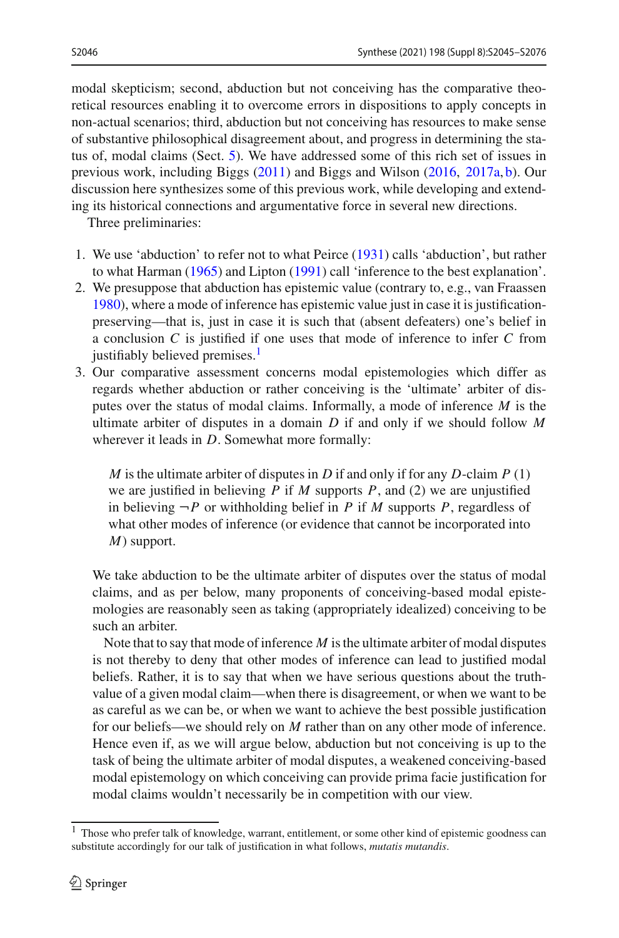modal skepticism; second, abduction but not conceiving has the comparative theoretical resources enabling it to overcome errors in dispositions to apply concepts in non-actual scenarios; third, abduction but not conceiving has resources to make sense of substantive philosophical disagreement about, and progress in determining the status of, modal claims (Sect. [5\)](#page-18-0). We have addressed some of this rich set of issues in previous work, including Bigg[s](#page-30-0) [\(2011](#page-30-0)) and Biggs and Wilso[n](#page-30-1) [\(2016](#page-30-1), [2017a](#page-30-2), [b\)](#page-30-3). Our discussion here synthesizes some of this previous work, while developing and extending its historical connections and argumentative force in several new directions.

Three preliminaries:

- 1. We use 'abduction' to refer not to what Peirc[e](#page-31-0) [\(1931](#page-31-0)) calls 'abduction', but rather to what Harma[n](#page-30-4) [\(1965\)](#page-30-4) and Lipto[n](#page-31-1) [\(1991\)](#page-31-1) call 'inference to the best explanation'.
- 2. We presuppose that abduction has epistemic value (contrary to, e.g., van Fraasse[n](#page-31-2) [1980\)](#page-31-2), where a mode of inference has epistemic value just in case it is justificationpreserving—that is, just in case it is such that (absent defeaters) one's belief in a conclusion *C* is justified if one uses that mode of inference to infer *C* from justifiably believed premises.<sup>1</sup>
- 3. Our comparative assessment concerns modal epistemologies which differ as regards whether abduction or rather conceiving is the 'ultimate' arbiter of disputes over the status of modal claims. Informally, a mode of inference *M* is the ultimate arbiter of disputes in a domain *D* if and only if we should follow *M* wherever it leads in *D*. Somewhat more formally:

*M* is the ultimate arbiter of disputes in *D* if and only if for any *D*-claim *P* (1) we are justified in believing *P* if *M* supports *P*, and (2) we are unjustified in believing  $\neg P$  or withholding belief in *P* if *M* supports *P*, regardless of what other modes of inference (or evidence that cannot be incorporated into *M*) support.

We take abduction to be the ultimate arbiter of disputes over the status of modal claims, and as per below, many proponents of conceiving-based modal epistemologies are reasonably seen as taking (appropriately idealized) conceiving to be such an arbiter.

Note that to say that mode of inference *M* is the ultimate arbiter of modal disputes is not thereby to deny that other modes of inference can lead to justified modal beliefs. Rather, it is to say that when we have serious questions about the truthvalue of a given modal claim—when there is disagreement, or when we want to be as careful as we can be, or when we want to achieve the best possible justification for our beliefs—we should rely on *M* rather than on any other mode of inference. Hence even if, as we will argue below, abduction but not conceiving is up to the task of being the ultimate arbiter of modal disputes, a weakened conceiving-based modal epistemology on which conceiving can provide prima facie justification for modal claims wouldn't necessarily be in competition with our view.

<span id="page-1-0"></span><sup>&</sup>lt;sup>1</sup> Those who prefer talk of knowledge, warrant, entitlement, or some other kind of epistemic goodness can substitute accordingly for our talk of justification in what follows, *mutatis mutandis*.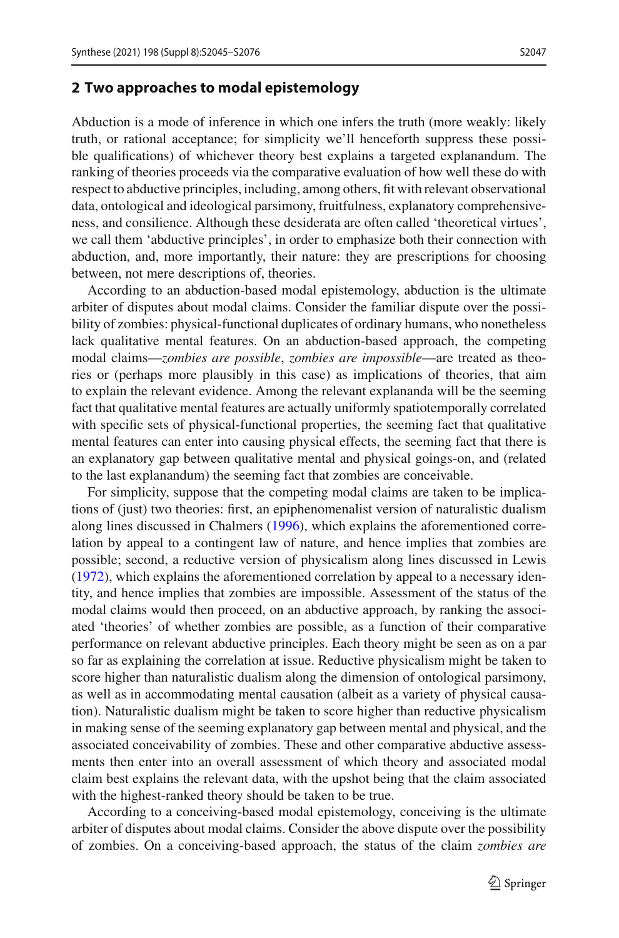### <span id="page-2-0"></span>**2 Two approaches to modal epistemology**

Abduction is a mode of inference in which one infers the truth (more weakly: likely truth, or rational acceptance; for simplicity we'll henceforth suppress these possible qualifications) of whichever theory best explains a targeted explanandum. The ranking of theories proceeds via the comparative evaluation of how well these do with respect to abductive principles, including, among others, fit with relevant observational data, ontological and ideological parsimony, fruitfulness, explanatory comprehensiveness, and consilience. Although these desiderata are often called 'theoretical virtues', we call them 'abductive principles', in order to emphasize both their connection with abduction, and, more importantly, their nature: they are prescriptions for choosing between, not mere descriptions of, theories.

According to an abduction-based modal epistemology, abduction is the ultimate arbiter of disputes about modal claims. Consider the familiar dispute over the possibility of zombies: physical-functional duplicates of ordinary humans, who nonetheless lack qualitative mental features. On an abduction-based approach, the competing modal claims—*zombies are possible*, *zombies are impossible*—are treated as theories or (perhaps more plausibly in this case) as implications of theories, that aim to explain the relevant evidence. Among the relevant explananda will be the seeming fact that qualitative mental features are actually uniformly spatiotemporally correlated with specific sets of physical-functional properties, the seeming fact that qualitative mental features can enter into causing physical effects, the seeming fact that there is an explanatory gap between qualitative mental and physical goings-on, and (related to the last explanandum) the seeming fact that zombies are conceivable.

For simplicity, suppose that the competing modal claims are taken to be implications of (just) two theories: first, an epiphenomenalist version of naturalistic dualism along lines discussed in Chalmer[s](#page-30-5) [\(1996\)](#page-30-5), which explains the aforementioned correlation by appeal to a contingent law of nature, and hence implies that zombies are possible; second, a reductive version of physicalism along lines discussed in Lewi[s](#page-31-3) [\(1972\)](#page-31-3), which explains the aforementioned correlation by appeal to a necessary identity, and hence implies that zombies are impossible. Assessment of the status of the modal claims would then proceed, on an abductive approach, by ranking the associated 'theories' of whether zombies are possible, as a function of their comparative performance on relevant abductive principles. Each theory might be seen as on a par so far as explaining the correlation at issue. Reductive physicalism might be taken to score higher than naturalistic dualism along the dimension of ontological parsimony, as well as in accommodating mental causation (albeit as a variety of physical causation). Naturalistic dualism might be taken to score higher than reductive physicalism in making sense of the seeming explanatory gap between mental and physical, and the associated conceivability of zombies. These and other comparative abductive assessments then enter into an overall assessment of which theory and associated modal claim best explains the relevant data, with the upshot being that the claim associated with the highest-ranked theory should be taken to be true.

According to a conceiving-based modal epistemology, conceiving is the ultimate arbiter of disputes about modal claims. Consider the above dispute over the possibility of zombies. On a conceiving-based approach, the status of the claim *zombies are*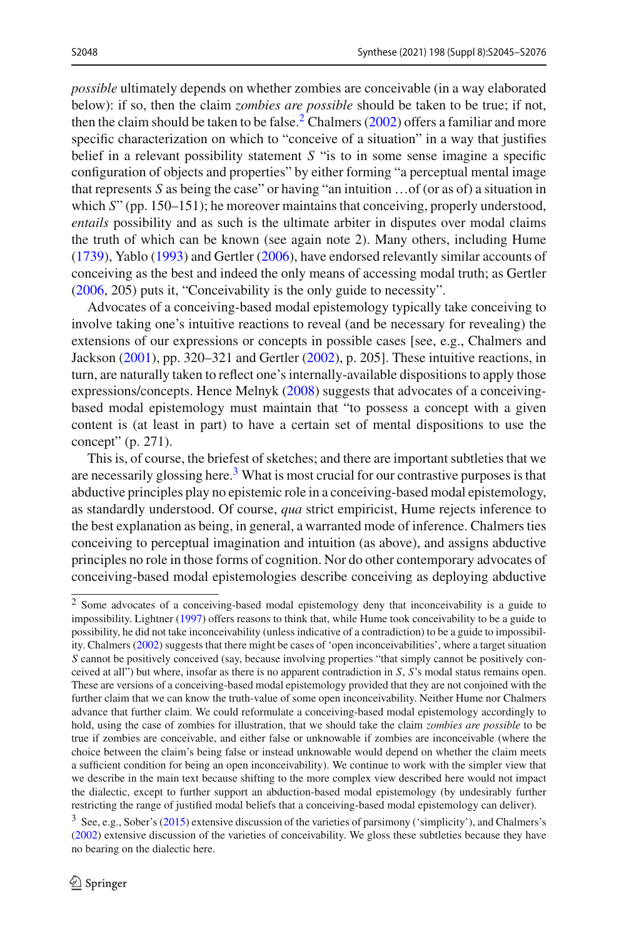*possible* ultimately depends on whether zombies are conceivable (in a way elaborated below): if so, then the claim *zombies are possible* should be taken to be true; if not, then the claim [s](#page-30-6)hould be taken to be false.<sup>2</sup> Chalmers [\(2002\)](#page-30-6) offers a familiar and more specific characterization on which to "conceive of a situation" in a way that justifies belief in a relevant possibility statement *S* "is to in some sense imagine a specific configuration of objects and properties" by either forming "a perceptual mental image that represents *S* as being the case" or having "an intuition …of (or as of) a situation in which *S*" (pp. 150–151); he moreover maintains that conceiving, properly understood, *entails* possibility and as such is the ultimate arbiter in disputes over modal claims the truth of which can be known (see again note 2). Many others, including Hume [\(1739\)](#page-31-4), Yabl[o](#page-31-5) [\(1993](#page-31-5)) and Gertle[r](#page-30-7) [\(2006\)](#page-30-7), have endorsed relevantly similar accounts of conceiving as the best and indeed the only means of accessing modal truth; as Gertler

Advocates of a conceiving-based modal epistemology typically take conceiving to involve taking one's intuitive reactions to reveal (and be necessary for revealing) the extensions of our expressions or concepts in possible cases [see, e.g., Chalmers and Jackso[n](#page-30-8) [\(2001\)](#page-30-8), pp. 320–321 and Gertle[r](#page-30-9) [\(2002\)](#page-30-9), p. 205]. These intuitive reactions, in turn, are naturally taken to reflect one's internally-available dispositions to apply those expressions/concepts. Hence Melny[k](#page-31-6) [\(2008\)](#page-31-6) suggests that advocates of a conceivingbased modal epistemology must maintain that "to possess a concept with a given content is (at least in part) to have a certain set of mental dispositions to use the concept" (p. 271).

[\(2006,](#page-30-7) 205) puts it, "Conceivability is the only guide to necessity".

This is, of course, the briefest of sketches; and there are important subtleties that we are necessarily glossing here. $3$  What is most crucial for our contrastive purposes is that abductive principles play no epistemic role in a conceiving-based modal epistemology, as standardly understood. Of course, *qua* strict empiricist, Hume rejects inference to the best explanation as being, in general, a warranted mode of inference. Chalmers ties conceiving to perceptual imagination and intuition (as above), and assigns abductive principles no role in those forms of cognition. Nor do other contemporary advocates of conceiving-based modal epistemologies describe conceiving as deploying abductive

<span id="page-3-0"></span><sup>2</sup> Some advocates of a conceiving-based modal epistemology deny that inconceivability is a guide to impossibility. Lightne[r](#page-31-7) [\(1997\)](#page-31-7) offers reasons to think that, while Hume took conceivability to be a guide to possibility, he did not take inconceivability (unless indicative of a contradiction) to be a guide to impossibility. Chalmer[s](#page-30-6) [\(2002\)](#page-30-6) suggests that there might be cases of 'open inconceivabilities', where a target situation *S* cannot be positively conceived (say, because involving properties "that simply cannot be positively conceived at all") but where, insofar as there is no apparent contradiction in *S*, *S*'s modal status remains open. These are versions of a conceiving-based modal epistemology provided that they are not conjoined with the further claim that we can know the truth-value of some open inconceivability. Neither Hume nor Chalmers advance that further claim. We could reformulate a conceiving-based modal epistemology accordingly to hold, using the case of zombies for illustration, that we should take the claim *zombies are possible* to be true if zombies are conceivable, and either false or unknowable if zombies are inconceivable (where the choice between the claim's being false or instead unknowable would depend on whether the claim meets a sufficient condition for being an open inconceivability). We continue to work with the simpler view that we describe in the main text because shifting to the more complex view described here would not impact the dialectic, except to further support an abduction-based modal epistemology (by undesirably further restricting the range of justified modal beliefs that a conceiving-based modal epistemology can deliver).

<span id="page-3-1"></span><sup>3</sup> See, e.g., Sober's [\(2015\)](#page-31-8) extensive discussion of the varieties of parsimony ('simplicity'), and Chalmers's [\(2002](#page-30-6)) extensive discussion of the varieties of conceivability. We gloss these subtleties because they have no bearing on the dialectic here.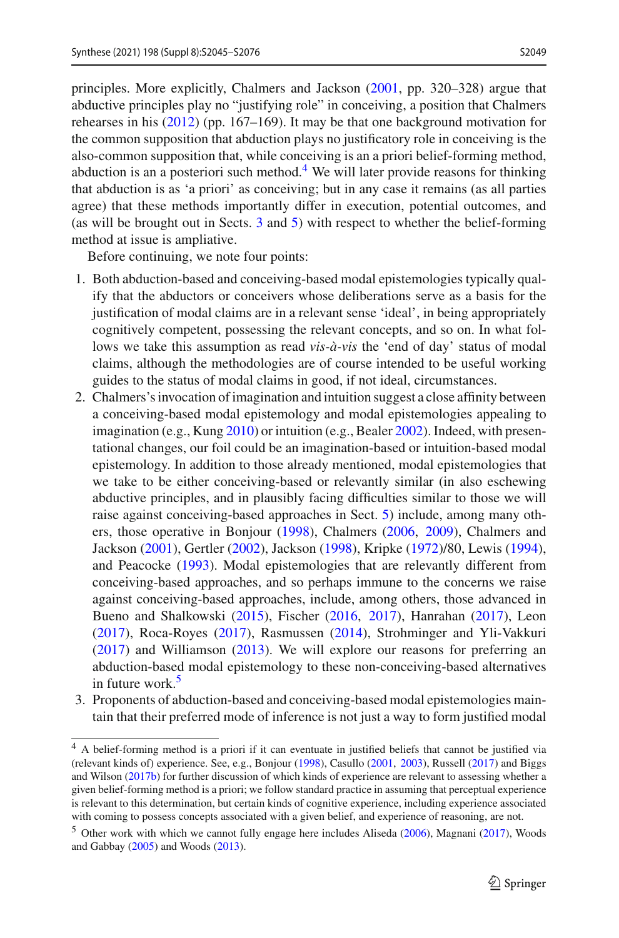principles. More explicitly, Chalmers and Jackson [\(2001](#page-30-8), pp. 320–328) argue that abductive principles play no "justifying role" in conceiving, a position that Chalmers rehearses in his [\(2012](#page-30-10)) (pp. 167–169). It may be that one background motivation for the common supposition that abduction plays no justificatory role in conceiving is the also-common supposition that, while conceiving is an a priori belief-forming method, abduction is an a posteriori such method.<sup>[4](#page-4-0)</sup> We will later provide reasons for thinking that abduction is as 'a priori' as conceiving; but in any case it remains (as all parties agree) that these methods importantly differ in execution, potential outcomes, and (as will be brought out in Sects. [3](#page-5-0) and [5\)](#page-18-0) with respect to whether the belief-forming method at issue is ampliative.

Before continuing, we note four points:

- 1. Both abduction-based and conceiving-based modal epistemologies typically qualify that the abductors or conceivers whose deliberations serve as a basis for the justification of modal claims are in a relevant sense 'ideal', in being appropriately cognitively competent, possessing the relevant concepts, and so on. In what follows we take this assumption as read *vis-à-vis* the 'end of day' status of modal claims, although the methodologies are of course intended to be useful working guides to the status of modal claims in good, if not ideal, circumstances.
- 2. Chalmers's invocation of imagination and intuition suggest a close affinity between a conceiving-based modal epistemology and modal epistemologies appealing to imagination (e.g., Kun[g](#page-31-9) [2010](#page-31-9)) or intuition (e.g., Beale[r](#page-30-11) [2002\)](#page-30-11). Indeed, with presentational changes, our foil could be an imagination-based or intuition-based modal epistemology. In addition to those already mentioned, modal epistemologies that we take to be either conceiving-based or relevantly similar (in also eschewing abductive principles, and in plausibly facing difficulties similar to those we will raise against conceiving-based approaches in Sect. [5\)](#page-18-0) include, among many others, those operative in Bonjou[r](#page-30-12) [\(1998\)](#page-30-12), Chalmer[s](#page-30-13) [\(2006,](#page-30-13) [2009](#page-30-14)), Chalmers and Jackso[n](#page-30-8) [\(2001\)](#page-30-8), Gertle[r](#page-30-9) [\(2002\)](#page-30-9), Jackso[n](#page-31-10) [\(1998](#page-31-10)), Kripk[e](#page-31-11) [\(1972\)](#page-31-11)/80, Lewi[s](#page-31-12) [\(1994](#page-31-12)), and Peacock[e](#page-31-13) [\(1993\)](#page-31-13). Modal epistemologies that are relevantly different from conceiving-based approaches, and so perhaps immune to the concerns we raise against conceiving-based approaches, include, among others, those advanced in Bueno and Shalkowsk[i](#page-30-15) [\(2015\)](#page-30-15), Fische[r](#page-30-16) [\(2016](#page-30-16), [2017\)](#page-30-17), Hanraha[n](#page-30-18) [\(2017\)](#page-30-18), Leo[n](#page-31-14) [\(2017\)](#page-31-14), Roca-Roye[s](#page-31-15) [\(2017](#page-31-15)), Rasmusse[n](#page-31-16) [\(2014\)](#page-31-16), Strohminger and Yli-Vakkur[i](#page-31-17) [\(2017\)](#page-31-17) and Williamso[n](#page-31-18) [\(2013\)](#page-31-18). We will explore our reasons for preferring an abduction-based modal epistemology to these non-conceiving-based alternatives in future work.<sup>5</sup>
- 3. Proponents of abduction-based and conceiving-based modal epistemologies maintain that their preferred mode of inference is not just a way to form justified modal

<span id="page-4-0"></span><sup>4</sup> A belief-forming method is a priori if it can eventuate in justified beliefs that cannot be justified via (relevant kinds of) experience. See, e.g., Bonjou[r](#page-30-12) [\(1998\)](#page-30-12), Casull[o](#page-30-19) [\(2001](#page-30-19), [2003](#page-30-20)), Russel[l](#page-31-19) [\(2017](#page-31-19)) and Biggs and Wilso[n](#page-30-3) [\(2017b](#page-30-3)) for further discussion of which kinds of experience are relevant to assessing whether a given belief-forming method is a priori; we follow standard practice in assuming that perceptual experience is relevant to this determination, but certain kinds of cognitive experience, including experience associated with coming to possess concepts associated with a given belief, and experience of reasoning, are not.

<span id="page-4-1"></span><sup>5</sup> Other work with which we cannot fully engage here includes Alised[a](#page-30-21) [\(2006\)](#page-30-21), Magnan[i](#page-31-20) [\(2017](#page-31-20)), Woods and Gabba[y](#page-31-21) [\(2005\)](#page-31-21) and Wood[s](#page-31-22) [\(2013](#page-31-22)).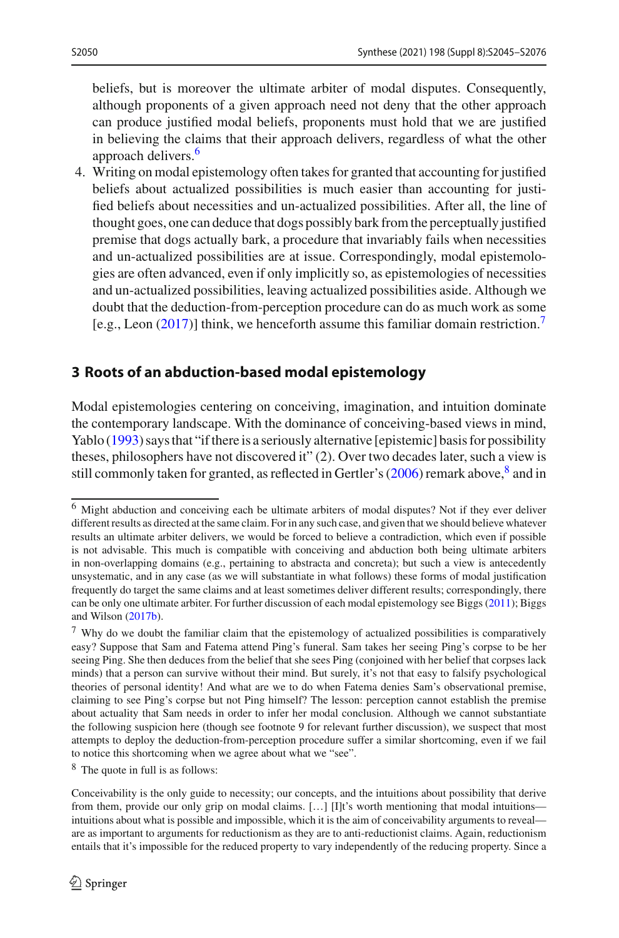beliefs, but is moreover the ultimate arbiter of modal disputes. Consequently, although proponents of a given approach need not deny that the other approach can produce justified modal beliefs, proponents must hold that we are justified in believing the claims that their approach delivers, regardless of what the other approach delivers.<sup>[6](#page-5-1)</sup>

4. Writing on modal epistemology often takes for granted that accounting for justified beliefs about actualized possibilities is much easier than accounting for justified beliefs about necessities and un-actualized possibilities. After all, the line of thought goes, one can deduce that dogs possibly bark from the perceptually justified premise that dogs actually bark, a procedure that invariably fails when necessities and un-actualized possibilities are at issue. Correspondingly, modal epistemologies are often advanced, even if only implicitly so, as epistemologies of necessities and un-actualized possibilities, leaving actualized possibilities aside. Although we doubt that the deduction-from-perception procedure can do as much work as some [e.g., Leo[n](#page-31-14) [\(2017](#page-31-14))] think, we henceforth assume this familiar domain restriction.[7](#page-5-2)

### <span id="page-5-0"></span>**3 Roots of an abduction-based modal epistemology**

Modal epistemologies centering on conceiving, imagination, and intuition dominate the contemporary landscape. With the dominance of conceiving-based views in mind, Yabl[o](#page-31-5) [\(1993\)](#page-31-5) says that "if there is a seriously alternative [epistemic] basis for possibility theses, philosophers have not discovered it" (2). Over two decades later, such a view is still commonly taken for granted, as reflected in Gertler's [\(2006](#page-30-7)) remark above,  $\frac{8}{3}$  and in

<span id="page-5-3"></span><sup>8</sup> The quote in full is as follows:

<span id="page-5-1"></span><sup>6</sup> Might abduction and conceiving each be ultimate arbiters of modal disputes? Not if they ever deliver different results as directed at the same claim. For in any such case, and given that we should believe whatever results an ultimate arbiter delivers, we would be forced to believe a contradiction, which even if possible is not advisable. This much is compatible with conceiving and abduction both being ultimate arbiters in non-overlapping domains (e.g., pertaining to abstracta and concreta); but such a view is antecedently unsystematic, and in any case (as we will substantiate in what follows) these forms of modal justification frequently do target the same claims and at least sometimes deliver different results; correspondingly, there can be only one ultimate arbiter. For further discussion of each modal epistemology see Bigg[s](#page-30-0) [\(2011](#page-30-0)); Biggs and Wilso[n](#page-30-3) [\(2017b\)](#page-30-3).

<span id="page-5-2"></span><sup>7</sup> Why do we doubt the familiar claim that the epistemology of actualized possibilities is comparatively easy? Suppose that Sam and Fatema attend Ping's funeral. Sam takes her seeing Ping's corpse to be her seeing Ping. She then deduces from the belief that she sees Ping (conjoined with her belief that corpses lack minds) that a person can survive without their mind. But surely, it's not that easy to falsify psychological theories of personal identity! And what are we to do when Fatema denies Sam's observational premise, claiming to see Ping's corpse but not Ping himself? The lesson: perception cannot establish the premise about actuality that Sam needs in order to infer her modal conclusion. Although we cannot substantiate the following suspicion here (though see footnote 9 for relevant further discussion), we suspect that most attempts to deploy the deduction-from-perception procedure suffer a similar shortcoming, even if we fail to notice this shortcoming when we agree about what we "see".

Conceivability is the only guide to necessity; our concepts, and the intuitions about possibility that derive from them, provide our only grip on modal claims. [...] [I]t's worth mentioning that modal intuitions intuitions about what is possible and impossible, which it is the aim of conceivability arguments to reveal are as important to arguments for reductionism as they are to anti-reductionist claims. Again, reductionism entails that it's impossible for the reduced property to vary independently of the reducing property. Since a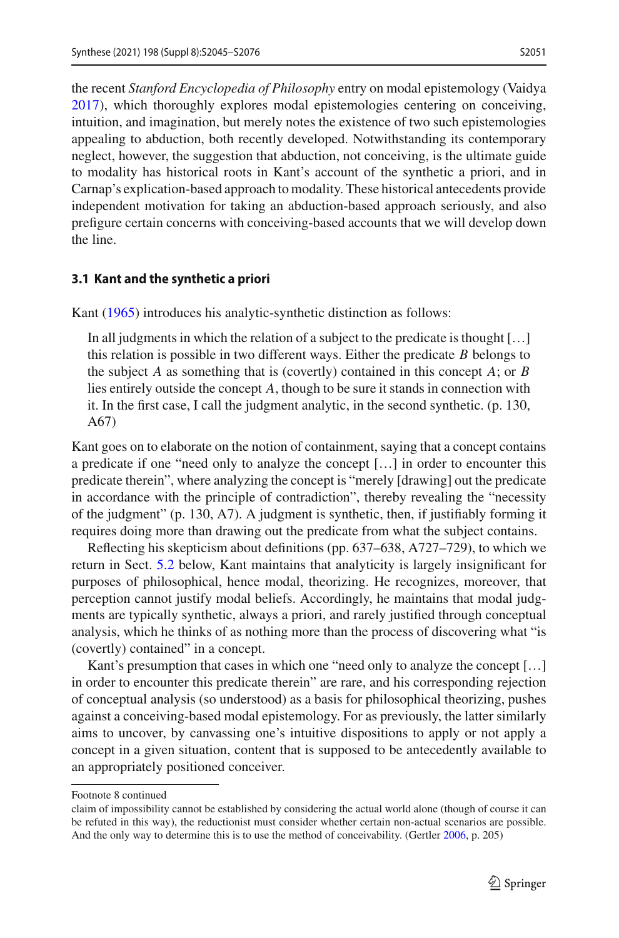the recent *Stanford Encyclopedia of Philosophy* entry on modal epistemology (Vaidy[a](#page-31-23) [2017\)](#page-31-23), which thoroughly explores modal epistemologies centering on conceiving, intuition, and imagination, but merely notes the existence of two such epistemologies appealing to abduction, both recently developed. Notwithstanding its contemporary neglect, however, the suggestion that abduction, not conceiving, is the ultimate guide to modality has historical roots in Kant's account of the synthetic a priori, and in Carnap's explication-based approach to modality. These historical antecedents provide independent motivation for taking an abduction-based approach seriously, and also prefigure certain concerns with conceiving-based accounts that we will develop down the line.

### **3.1 Kant and the synthetic a priori**

Kan[t](#page-31-24) [\(1965\)](#page-31-24) introduces his analytic-synthetic distinction as follows:

In all judgments in which the relation of a subject to the predicate is thought […] this relation is possible in two different ways. Either the predicate *B* belongs to the subject *A* as something that is (covertly) contained in this concept *A*; or *B* lies entirely outside the concept *A*, though to be sure it stands in connection with it. In the first case, I call the judgment analytic, in the second synthetic. (p. 130, A67)

Kant goes on to elaborate on the notion of containment, saying that a concept contains a predicate if one "need only to analyze the concept […] in order to encounter this predicate therein", where analyzing the concept is "merely [drawing] out the predicate in accordance with the principle of contradiction", thereby revealing the "necessity of the judgment" (p. 130, A7). A judgment is synthetic, then, if justifiably forming it requires doing more than drawing out the predicate from what the subject contains.

Reflecting his skepticism about definitions (pp. 637–638, A727–729), to which we return in Sect. [5.2](#page-25-0) below, Kant maintains that analyticity is largely insignificant for purposes of philosophical, hence modal, theorizing. He recognizes, moreover, that perception cannot justify modal beliefs. Accordingly, he maintains that modal judgments are typically synthetic, always a priori, and rarely justified through conceptual analysis, which he thinks of as nothing more than the process of discovering what "is (covertly) contained" in a concept.

Kant's presumption that cases in which one "need only to analyze the concept [...] in order to encounter this predicate therein" are rare, and his corresponding rejection of conceptual analysis (so understood) as a basis for philosophical theorizing, pushes against a conceiving-based modal epistemology. For as previously, the latter similarly aims to uncover, by canvassing one's intuitive dispositions to apply or not apply a concept in a given situation, content that is supposed to be antecedently available to an appropriately positioned conceiver.

Footnote 8 continued

claim of impossibility cannot be established by considering the actual world alone (though of course it can be refuted in this way), the reductionist must consider whether certain non-actual scenarios are possible. And the only way to determine this is to use the method of conceivability. (Gertle[r](#page-30-7) [2006,](#page-30-7) p. 205)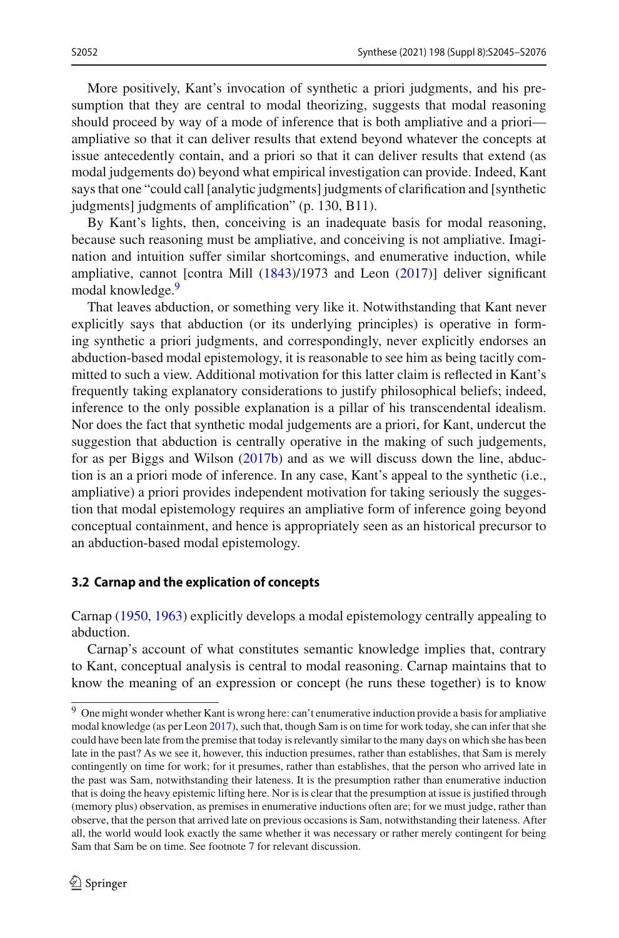More positively, Kant's invocation of synthetic a priori judgments, and his presumption that they are central to modal theorizing, suggests that modal reasoning should proceed by way of a mode of inference that is both ampliative and a priori ampliative so that it can deliver results that extend beyond whatever the concepts at issue antecedently contain, and a priori so that it can deliver results that extend (as modal judgements do) beyond what empirical investigation can provide. Indeed, Kant says that one "could call [analytic judgments] judgments of clarification and [synthetic judgments] judgments of amplification" (p. 130, B11).

By Kant's lights, then, conceiving is an inadequate basis for modal reasoning, because such reasoning must be ampliative, and conceiving is not ampliative. Imagination and intuition suffer similar shortcomings, and enumerative induction, while ampliative, cannot [contra Mil[l](#page-31-25) [\(1843](#page-31-25))/1973 and Leo[n](#page-31-14) [\(2017](#page-31-14))] deliver significant modal knowledge.<sup>9</sup>

That leaves abduction, or something very like it. Notwithstanding that Kant never explicitly says that abduction (or its underlying principles) is operative in forming synthetic a priori judgments, and correspondingly, never explicitly endorses an abduction-based modal epistemology, it is reasonable to see him as being tacitly committed to such a view. Additional motivation for this latter claim is reflected in Kant's frequently taking explanatory considerations to justify philosophical beliefs; indeed, inference to the only possible explanation is a pillar of his transcendental idealism. Nor does the fact that synthetic modal judgements are a priori, for Kant, undercut the suggestion that abduction is centrally operative in the making of such judgements, for as per Biggs and Wilso[n](#page-30-3) [\(2017b\)](#page-30-3) and as we will discuss down the line, abduction is an a priori mode of inference. In any case, Kant's appeal to the synthetic (i.e., ampliative) a priori provides independent motivation for taking seriously the suggestion that modal epistemology requires an ampliative form of inference going beyond conceptual containment, and hence is appropriately seen as an historical precursor to an abduction-based modal epistemology.

#### **3.2 Carnap and the explication of concepts**

Carnap [\(1950](#page-30-22), [1963\)](#page-30-23) explicitly develops a modal epistemology centrally appealing to abduction.

Carnap's account of what constitutes semantic knowledge implies that, contrary to Kant, conceptual analysis is central to modal reasoning. Carnap maintains that to know the meaning of an expression or concept (he runs these together) is to know

<span id="page-7-0"></span><sup>&</sup>lt;sup>9</sup> One might wonder whether Kant is wrong here: can't enumerative induction provide a basis for ampliative modal knowledge (as per Leo[n](#page-31-14) [2017\)](#page-31-14), such that, though Sam is on time for work today, she can infer that she could have been late from the premise that today is relevantly similar to the many days on which she has been late in the past? As we see it, however, this induction presumes, rather than establishes, that Sam is merely contingently on time for work; for it presumes, rather than establishes, that the person who arrived late in the past was Sam, notwithstanding their lateness. It is the presumption rather than enumerative induction that is doing the heavy epistemic lifting here. Nor is is clear that the presumption at issue is justified through (memory plus) observation, as premises in enumerative inductions often are; for we must judge, rather than observe, that the person that arrived late on previous occasions is Sam, notwithstanding their lateness. After all, the world would look exactly the same whether it was necessary or rather merely contingent for being Sam that Sam be on time. See footnote 7 for relevant discussion.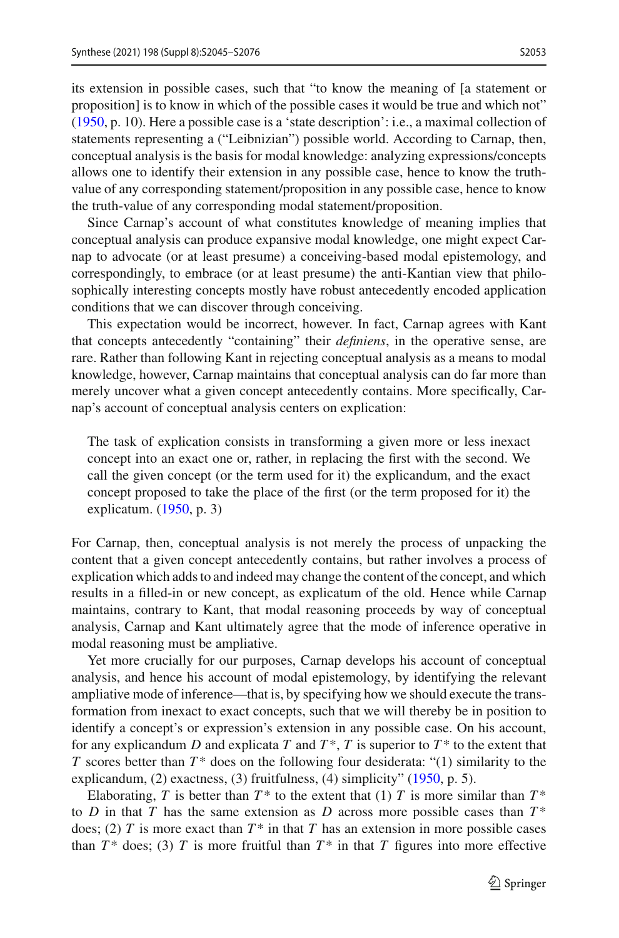its extension in possible cases, such that "to know the meaning of [a statement or proposition] is to know in which of the possible cases it would be true and which not" [\(1950,](#page-30-22) p. 10). Here a possible case is a 'state description': i.e., a maximal collection of statements representing a ("Leibnizian") possible world. According to Carnap, then, conceptual analysis is the basis for modal knowledge: analyzing expressions/concepts allows one to identify their extension in any possible case, hence to know the truthvalue of any corresponding statement/proposition in any possible case, hence to know the truth-value of any corresponding modal statement/proposition.

Since Carnap's account of what constitutes knowledge of meaning implies that conceptual analysis can produce expansive modal knowledge, one might expect Carnap to advocate (or at least presume) a conceiving-based modal epistemology, and correspondingly, to embrace (or at least presume) the anti-Kantian view that philosophically interesting concepts mostly have robust antecedently encoded application conditions that we can discover through conceiving.

This expectation would be incorrect, however. In fact, Carnap agrees with Kant that concepts antecedently "containing" their *definiens*, in the operative sense, are rare. Rather than following Kant in rejecting conceptual analysis as a means to modal knowledge, however, Carnap maintains that conceptual analysis can do far more than merely uncover what a given concept antecedently contains. More specifically, Carnap's account of conceptual analysis centers on explication:

The task of explication consists in transforming a given more or less inexact concept into an exact one or, rather, in replacing the first with the second. We call the given concept (or the term used for it) the explicandum, and the exact concept proposed to take the place of the first (or the term proposed for it) the explicatum. [\(1950](#page-30-22), p. 3)

For Carnap, then, conceptual analysis is not merely the process of unpacking the content that a given concept antecedently contains, but rather involves a process of explication which adds to and indeed may change the content of the concept, and which results in a filled-in or new concept, as explicatum of the old. Hence while Carnap maintains, contrary to Kant, that modal reasoning proceeds by way of conceptual analysis, Carnap and Kant ultimately agree that the mode of inference operative in modal reasoning must be ampliative.

Yet more crucially for our purposes, Carnap develops his account of conceptual analysis, and hence his account of modal epistemology, by identifying the relevant ampliative mode of inference—that is, by specifying how we should execute the transformation from inexact to exact concepts, such that we will thereby be in position to identify a concept's or expression's extension in any possible case. On his account, for any explicandum *D* and explicata *T* and  $T^*$ , *T* is superior to  $T^*$  to the extent that *T* scores better than  $T^*$  does on the following four desiderata: "(1) similarity to the explicandum, (2) exactness, (3) fruitfulness, (4) simplicity" [\(1950,](#page-30-22) p. 5).

Elaborating, *T* is better than  $T^*$  to the extent that (1) *T* is more similar than  $T^*$ to *D* in that *T* has the same extension as *D* across more possible cases than  $T^*$ does; (2) *T* is more exact than  $T^*$  in that *T* has an extension in more possible cases than  $T^*$  does; (3)  $T$  is more fruitful than  $T^*$  in that  $T$  figures into more effective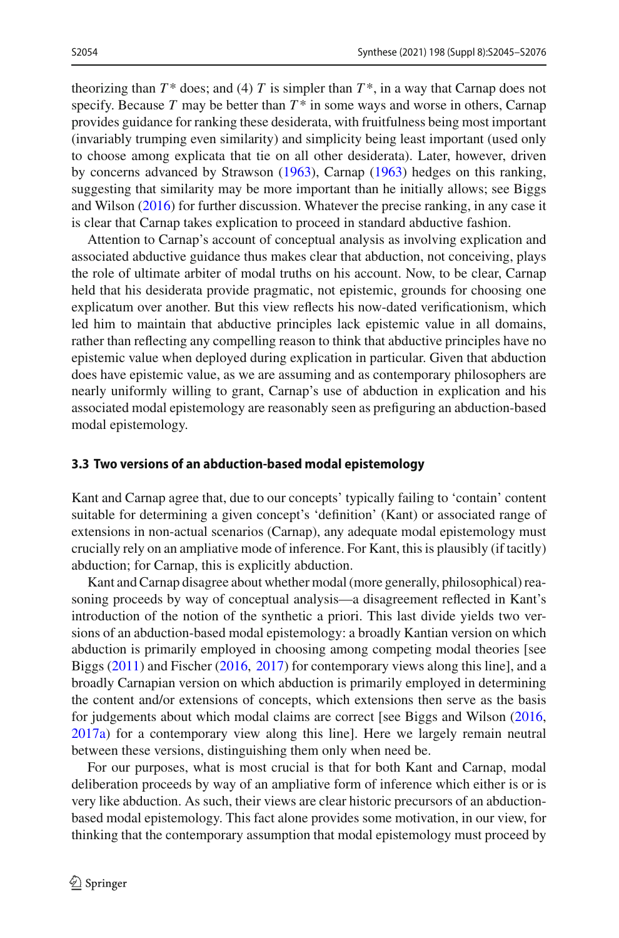theorizing than  $T^*$  does; and (4)  $T$  is simpler than  $T^*$ , in a way that Carnap does not specify. Because  $T$  may be better than  $T^*$  in some ways and worse in others, Carnap provides guidance for ranking these desiderata, with fruitfulness being most important (invariably trumping even similarity) and simplicity being least important (used only to choose among explicata that tie on all other desiderata). Later, however, driven by concerns advanced by Strawso[n](#page-31-26) [\(1963](#page-31-26)), Carna[p](#page-30-23) [\(1963\)](#page-30-23) hedges on this ranking, suggesting that similarity may be more important than he initially allows; see Biggs and Wilso[n](#page-30-1) [\(2016](#page-30-1)) for further discussion. Whatever the precise ranking, in any case it is clear that Carnap takes explication to proceed in standard abductive fashion.

Attention to Carnap's account of conceptual analysis as involving explication and associated abductive guidance thus makes clear that abduction, not conceiving, plays the role of ultimate arbiter of modal truths on his account. Now, to be clear, Carnap held that his desiderata provide pragmatic, not epistemic, grounds for choosing one explicatum over another. But this view reflects his now-dated verificationism, which led him to maintain that abductive principles lack epistemic value in all domains, rather than reflecting any compelling reason to think that abductive principles have no epistemic value when deployed during explication in particular. Given that abduction does have epistemic value, as we are assuming and as contemporary philosophers are nearly uniformly willing to grant, Carnap's use of abduction in explication and his associated modal epistemology are reasonably seen as prefiguring an abduction-based modal epistemology.

### **3.3 Two versions of an abduction-based modal epistemology**

Kant and Carnap agree that, due to our concepts' typically failing to 'contain' content suitable for determining a given concept's 'definition' (Kant) or associated range of extensions in non-actual scenarios (Carnap), any adequate modal epistemology must crucially rely on an ampliative mode of inference. For Kant, this is plausibly (if tacitly) abduction; for Carnap, this is explicitly abduction.

Kant and Carnap disagree about whether modal (more generally, philosophical) reasoning proceeds by way of conceptual analysis—a disagreement reflected in Kant's introduction of the notion of the synthetic a priori. This last divide yields two versions of an abduction-based modal epistemology: a broadly Kantian version on which abduction is primarily employed in choosing among competing modal theories [see Bigg[s](#page-30-0) [\(2011](#page-30-0)) and Fische[r](#page-30-16) [\(2016,](#page-30-16) [2017\)](#page-30-17) for contemporary views along this line], and a broadly Carnapian version on which abduction is primarily employed in determining the content and/or extensions of concepts, which extensions then serve as the basis for judgements about which modal claims are correct [see Biggs and Wilso[n](#page-30-1) [\(2016,](#page-30-1) [2017a](#page-30-2)) for a contemporary view along this line]. Here we largely remain neutral between these versions, distinguishing them only when need be.

For our purposes, what is most crucial is that for both Kant and Carnap, modal deliberation proceeds by way of an ampliative form of inference which either is or is very like abduction. As such, their views are clear historic precursors of an abductionbased modal epistemology. This fact alone provides some motivation, in our view, for thinking that the contemporary assumption that modal epistemology must proceed by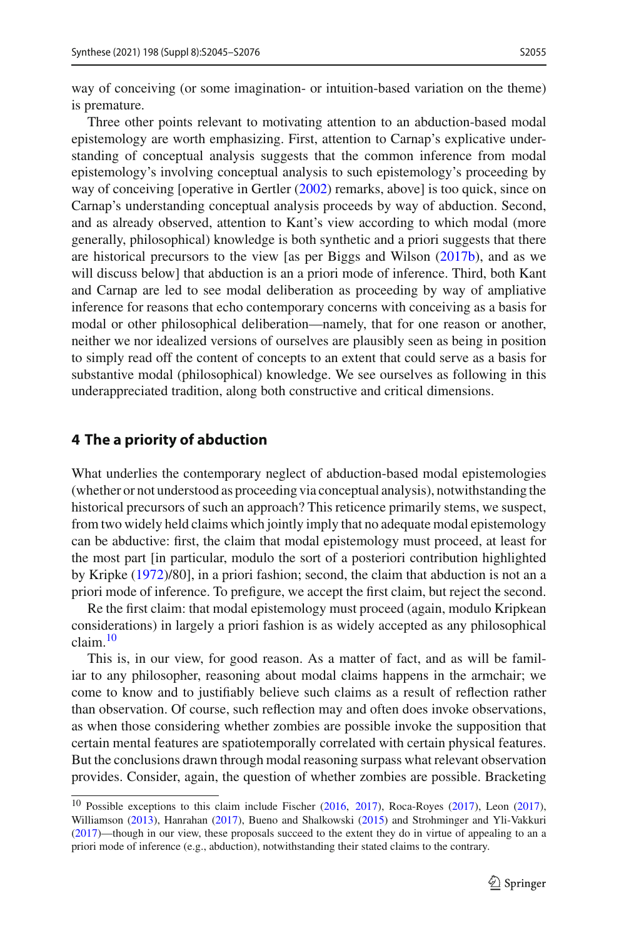way of conceiving (or some imagination- or intuition-based variation on the theme) is premature.

Three other points relevant to motivating attention to an abduction-based modal epistemology are worth emphasizing. First, attention to Carnap's explicative understanding of conceptual analysis suggests that the common inference from modal epistemology's involving conceptual analysis to such epistemology's proceeding by way of conceiving [operative in Gertle[r](#page-30-9) [\(2002](#page-30-9)) remarks, above] is too quick, since on Carnap's understanding conceptual analysis proceeds by way of abduction. Second, and as already observed, attention to Kant's view according to which modal (more generally, philosophical) knowledge is both synthetic and a priori suggests that there are historical precursors to the view [as per Biggs and Wilso[n](#page-30-3) [\(2017b](#page-30-3)), and as we will discuss below] that abduction is an a priori mode of inference. Third, both Kant and Carnap are led to see modal deliberation as proceeding by way of ampliative inference for reasons that echo contemporary concerns with conceiving as a basis for modal or other philosophical deliberation—namely, that for one reason or another, neither we nor idealized versions of ourselves are plausibly seen as being in position to simply read off the content of concepts to an extent that could serve as a basis for substantive modal (philosophical) knowledge. We see ourselves as following in this underappreciated tradition, along both constructive and critical dimensions.

### <span id="page-10-0"></span>**4 The a priority of abduction**

What underlies the contemporary neglect of abduction-based modal epistemologies (whether or not understood as proceeding via conceptual analysis), notwithstanding the historical precursors of such an approach? This reticence primarily stems, we suspect, from two widely held claims which jointly imply that no adequate modal epistemology can be abductive: first, the claim that modal epistemology must proceed, at least for the most part [in particular, modulo the sort of a posteriori contribution highlighted by Kripk[e](#page-31-11) [\(1972](#page-31-11))/80], in a priori fashion; second, the claim that abduction is not an a priori mode of inference. To prefigure, we accept the first claim, but reject the second.

Re the first claim: that modal epistemology must proceed (again, modulo Kripkean considerations) in largely a priori fashion is as widely accepted as any philosophical claim.[10](#page-10-1)

This is, in our view, for good reason. As a matter of fact, and as will be familiar to any philosopher, reasoning about modal claims happens in the armchair; we come to know and to justifiably believe such claims as a result of reflection rather than observation. Of course, such reflection may and often does invoke observations, as when those considering whether zombies are possible invoke the supposition that certain mental features are spatiotemporally correlated with certain physical features. But the conclusions drawn through modal reasoning surpass what relevant observation provides. Consider, again, the question of whether zombies are possible. Bracketing

<span id="page-10-1"></span><sup>&</sup>lt;sup>10</sup> Possible exceptions to this claim include Fische[r](#page-30-16) [\(2016](#page-30-16), [2017](#page-30-17)), Roca-Roye[s](#page-31-15) [\(2017](#page-31-14)), Leo[n](#page-31-14) (2017), Williamso[n](#page-31-18) [\(2013](#page-31-18)), Hanraha[n](#page-30-18) [\(2017](#page-30-18)), Bueno and Shalkowsk[i](#page-30-15) [\(2015\)](#page-30-15) and Strohminger and Yli-Vakkur[i](#page-31-17) [\(2017](#page-31-17))—though in our view, these proposals succeed to the extent they do in virtue of appealing to an a priori mode of inference (e.g., abduction), notwithstanding their stated claims to the contrary.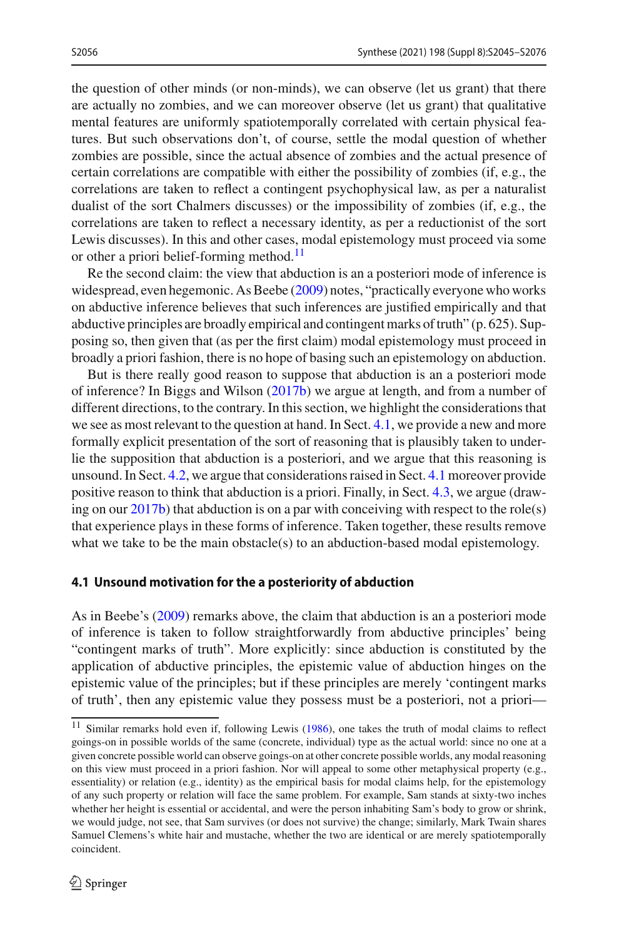the question of other minds (or non-minds), we can observe (let us grant) that there are actually no zombies, and we can moreover observe (let us grant) that qualitative mental features are uniformly spatiotemporally correlated with certain physical features. But such observations don't, of course, settle the modal question of whether zombies are possible, since the actual absence of zombies and the actual presence of certain correlations are compatible with either the possibility of zombies (if, e.g., the correlations are taken to reflect a contingent psychophysical law, as per a naturalist dualist of the sort Chalmers discusses) or the impossibility of zombies (if, e.g., the correlations are taken to reflect a necessary identity, as per a reductionist of the sort Lewis discusses). In this and other cases, modal epistemology must proceed via some or other a priori belief-forming method.<sup>[11](#page-11-0)</sup>

Re the second claim: the view that abduction is an a posteriori mode of inference is widespread, even hegemonic. As Beeb[e](#page-30-24) [\(2009\)](#page-30-24) notes, "practically everyone who works on abductive inference believes that such inferences are justified empirically and that abductive principles are broadly empirical and contingent marks of truth" (p. 625). Supposing so, then given that (as per the first claim) modal epistemology must proceed in broadly a priori fashion, there is no hope of basing such an epistemology on abduction.

But is there really good reason to suppose that abduction is an a posteriori mode of inference? In Biggs and Wilso[n](#page-30-3) [\(2017b\)](#page-30-3) we argue at length, and from a number of different directions, to the contrary. In this section, we highlight the considerations that we see as most relevant to the question at hand. In Sect. [4.1,](#page-11-1) we provide a new and more formally explicit presentation of the sort of reasoning that is plausibly taken to underlie the supposition that abduction is a posteriori, and we argue that this reasoning is unsound. In Sect. [4.2,](#page-14-0) we argue that considerations raised in Sect. [4.1](#page-11-1) moreover provide positive reason to think that abduction is a priori. Finally, in Sect. [4.3,](#page-16-0) we argue (drawing on our  $2017b$ ) that abduction is on a par with conceiving with respect to the role(s) that experience plays in these forms of inference. Taken together, these results remove what we take to be the main obstacle(s) to an abduction-based modal epistemology.

#### <span id="page-11-1"></span>**4.1 Unsound motivation for the a posteriority of abduction**

As in Beebe's [\(2009](#page-30-24)) remarks above, the claim that abduction is an a posteriori mode of inference is taken to follow straightforwardly from abductive principles' being "contingent marks of truth". More explicitly: since abduction is constituted by the application of abductive principles, the epistemic value of abduction hinges on the epistemic value of the principles; but if these principles are merely 'contingent marks of truth', then any epistemic value they possess must be a posteriori, not a priori—

<span id="page-11-0"></span><sup>&</sup>lt;[s](#page-31-27)up>11</sup> Similar remarks hold even if, following Lewis [\(1986](#page-31-27)), one takes the truth of modal claims to reflect goings-on in possible worlds of the same (concrete, individual) type as the actual world: since no one at a given concrete possible world can observe goings-on at other concrete possible worlds, any modal reasoning on this view must proceed in a priori fashion. Nor will appeal to some other metaphysical property (e.g., essentiality) or relation (e.g., identity) as the empirical basis for modal claims help, for the epistemology of any such property or relation will face the same problem. For example, Sam stands at sixty-two inches whether her height is essential or accidental, and were the person inhabiting Sam's body to grow or shrink, we would judge, not see, that Sam survives (or does not survive) the change; similarly, Mark Twain shares Samuel Clemens's white hair and mustache, whether the two are identical or are merely spatiotemporally coincident.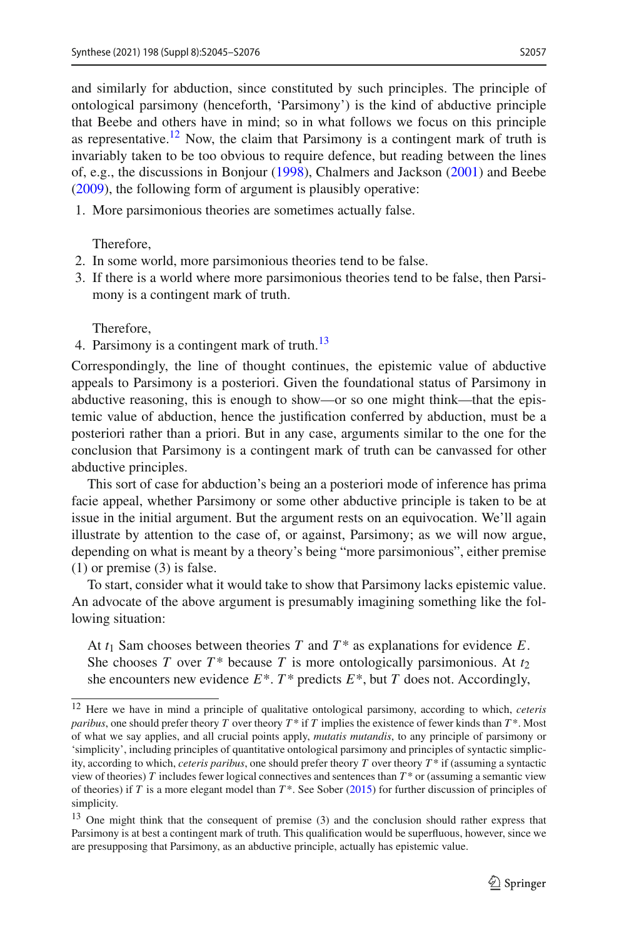and similarly for abduction, since constituted by such principles. The principle of ontological parsimony (henceforth, 'Parsimony') is the kind of abductive principle that Beebe and others have in mind; so in what follows we focus on this principle as representative.<sup>[12](#page-12-0)</sup> Now, the claim that Parsimony is a contingent mark of truth is invariably taken to be too obvious to require defence, but reading between the lines of, e.g., the discussions in Bonjou[r](#page-30-12) [\(1998\)](#page-30-12), Chalmers and Jackso[n](#page-30-8) [\(2001](#page-30-8)) and Beeb[e](#page-30-24) [\(2009\)](#page-30-24), the following form of argument is plausibly operative:

1. More parsimonious theories are sometimes actually false.

Therefore,

- 2. In some world, more parsimonious theories tend to be false.
- 3. If there is a world where more parsimonious theories tend to be false, then Parsimony is a contingent mark of truth.

Therefore,

4. Parsimony is a contingent mark of truth.<sup>13</sup>

Correspondingly, the line of thought continues, the epistemic value of abductive appeals to Parsimony is a posteriori. Given the foundational status of Parsimony in abductive reasoning, this is enough to show—or so one might think—that the epistemic value of abduction, hence the justification conferred by abduction, must be a posteriori rather than a priori. But in any case, arguments similar to the one for the conclusion that Parsimony is a contingent mark of truth can be canvassed for other abductive principles.

This sort of case for abduction's being an a posteriori mode of inference has prima facie appeal, whether Parsimony or some other abductive principle is taken to be at issue in the initial argument. But the argument rests on an equivocation. We'll again illustrate by attention to the case of, or against, Parsimony; as we will now argue, depending on what is meant by a theory's being "more parsimonious", either premise (1) or premise (3) is false.

To start, consider what it would take to show that Parsimony lacks epistemic value. An advocate of the above argument is presumably imagining something like the following situation:

At  $t_1$  Sam chooses between theories *T* and  $T^*$  as explanations for evidence *E*. She chooses *T* over  $T^*$  because *T* is more ontologically parsimonious. At  $t_2$ she encounters new evidence  $E^*$ .  $T^*$  predicts  $E^*$ , but  $T$  does not. Accordingly,

<span id="page-12-0"></span><sup>12</sup> Here we have in mind a principle of qualitative ontological parsimony, according to which, *ceteris paribus*, one should prefer theory *T* over theory *T* \* if *T* implies the existence of fewer kinds than *T* \*. Most of what we say applies, and all crucial points apply, *mutatis mutandis*, to any principle of parsimony or 'simplicity', including principles of quantitative ontological parsimony and principles of syntactic simplicity, according to which, *ceteris paribus*, one should prefer theory *T* over theory *T* \* if (assuming a syntactic view of theories) *T* includes fewer logical connectives and sentences than *T* \* or (assuming a semantic view of theo[r](#page-31-8)ies) if *T* is a more elegant model than  $T^*$ . See Sober [\(2015](#page-31-8)) for further discussion of principles of simplicity.

<span id="page-12-1"></span><sup>&</sup>lt;sup>13</sup> One might think that the consequent of premise (3) and the conclusion should rather express that Parsimony is at best a contingent mark of truth. This qualification would be superfluous, however, since we are presupposing that Parsimony, as an abductive principle, actually has epistemic value.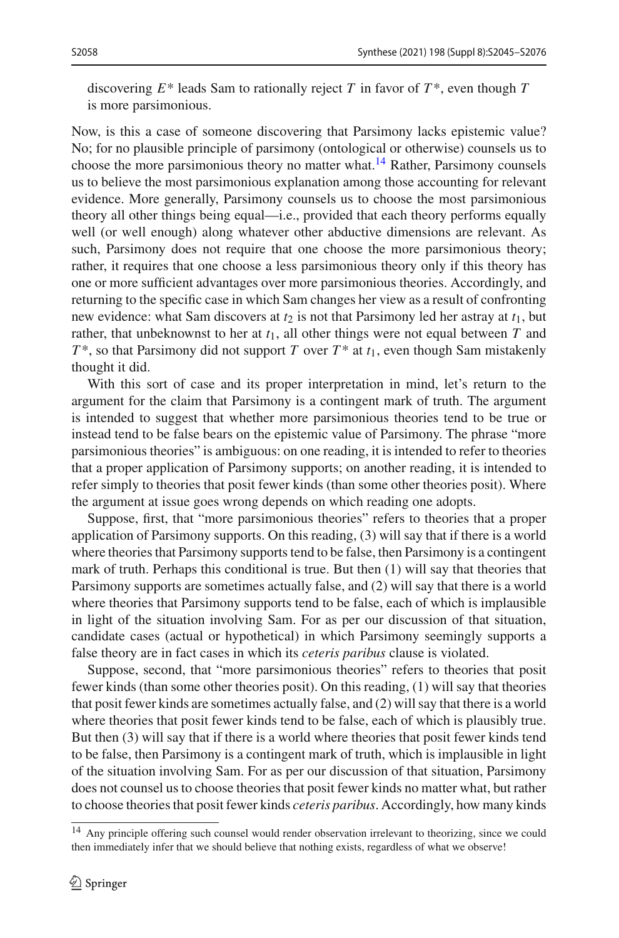discovering  $E^*$  leads Sam to rationally reject *T* in favor of  $T^*$ , even though *T* is more parsimonious.

Now, is this a case of someone discovering that Parsimony lacks epistemic value? No; for no plausible principle of parsimony (ontological or otherwise) counsels us to choose the more parsimonious theory no matter what.<sup>[14](#page-13-0)</sup> Rather, Parsimony counsels us to believe the most parsimonious explanation among those accounting for relevant evidence. More generally, Parsimony counsels us to choose the most parsimonious theory all other things being equal—i.e., provided that each theory performs equally well (or well enough) along whatever other abductive dimensions are relevant. As such, Parsimony does not require that one choose the more parsimonious theory; rather, it requires that one choose a less parsimonious theory only if this theory has one or more sufficient advantages over more parsimonious theories. Accordingly, and returning to the specific case in which Sam changes her view as a result of confronting new evidence: what Sam discovers at  $t_2$  is not that Parsimony led her astray at  $t_1$ , but rather, that unbeknownst to her at  $t_1$ , all other things were not equal between  $T$  and  $T^*$ , so that Parsimony did not support *T* over  $T^*$  at  $t_1$ , even though Sam mistakenly thought it did.

With this sort of case and its proper interpretation in mind, let's return to the argument for the claim that Parsimony is a contingent mark of truth. The argument is intended to suggest that whether more parsimonious theories tend to be true or instead tend to be false bears on the epistemic value of Parsimony. The phrase "more parsimonious theories" is ambiguous: on one reading, it is intended to refer to theories that a proper application of Parsimony supports; on another reading, it is intended to refer simply to theories that posit fewer kinds (than some other theories posit). Where the argument at issue goes wrong depends on which reading one adopts.

Suppose, first, that "more parsimonious theories" refers to theories that a proper application of Parsimony supports. On this reading, (3) will say that if there is a world where theories that Parsimony supports tend to be false, then Parsimony is a contingent mark of truth. Perhaps this conditional is true. But then (1) will say that theories that Parsimony supports are sometimes actually false, and (2) will say that there is a world where theories that Parsimony supports tend to be false, each of which is implausible in light of the situation involving Sam. For as per our discussion of that situation, candidate cases (actual or hypothetical) in which Parsimony seemingly supports a false theory are in fact cases in which its *ceteris paribus* clause is violated.

Suppose, second, that "more parsimonious theories" refers to theories that posit fewer kinds (than some other theories posit). On this reading, (1) will say that theories that posit fewer kinds are sometimes actually false, and (2) will say that there is a world where theories that posit fewer kinds tend to be false, each of which is plausibly true. But then (3) will say that if there is a world where theories that posit fewer kinds tend to be false, then Parsimony is a contingent mark of truth, which is implausible in light of the situation involving Sam. For as per our discussion of that situation, Parsimony does not counsel us to choose theories that posit fewer kinds no matter what, but rather to choose theories that posit fewer kinds *ceteris paribus*. Accordingly, how many kinds

<span id="page-13-0"></span><sup>&</sup>lt;sup>14</sup> Any principle offering such counsel would render observation irrelevant to theorizing, since we could then immediately infer that we should believe that nothing exists, regardless of what we observe!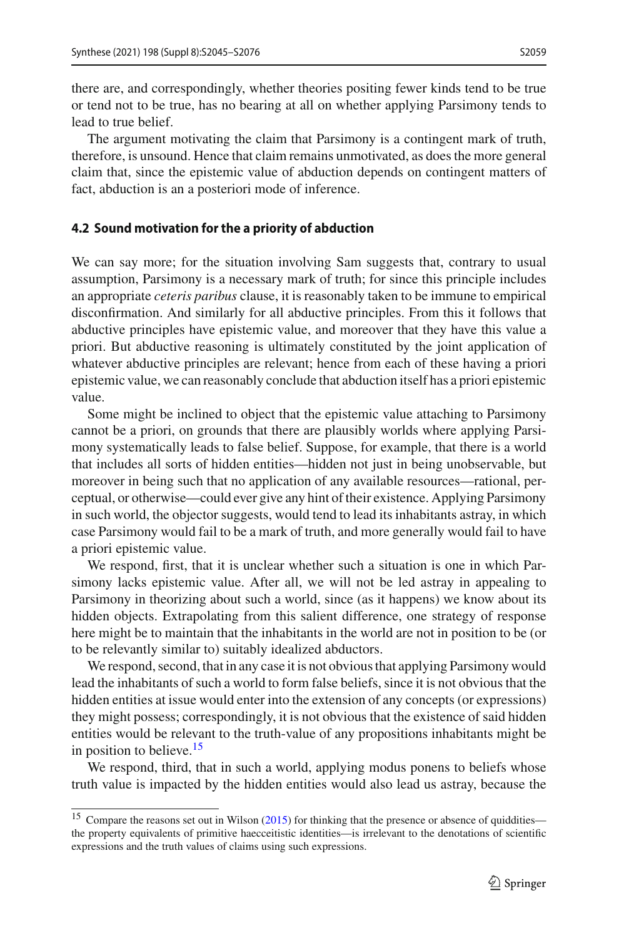there are, and correspondingly, whether theories positing fewer kinds tend to be true or tend not to be true, has no bearing at all on whether applying Parsimony tends to lead to true belief.

The argument motivating the claim that Parsimony is a contingent mark of truth, therefore, is unsound. Hence that claim remains unmotivated, as does the more general claim that, since the epistemic value of abduction depends on contingent matters of fact, abduction is an a posteriori mode of inference.

#### <span id="page-14-0"></span>**4.2 Sound motivation for the a priority of abduction**

We can say more; for the situation involving Sam suggests that, contrary to usual assumption, Parsimony is a necessary mark of truth; for since this principle includes an appropriate *ceteris paribus* clause, it is reasonably taken to be immune to empirical disconfirmation. And similarly for all abductive principles. From this it follows that abductive principles have epistemic value, and moreover that they have this value a priori. But abductive reasoning is ultimately constituted by the joint application of whatever abductive principles are relevant; hence from each of these having a priori epistemic value, we can reasonably conclude that abduction itself has a priori epistemic value.

Some might be inclined to object that the epistemic value attaching to Parsimony cannot be a priori, on grounds that there are plausibly worlds where applying Parsimony systematically leads to false belief. Suppose, for example, that there is a world that includes all sorts of hidden entities—hidden not just in being unobservable, but moreover in being such that no application of any available resources—rational, perceptual, or otherwise—could ever give any hint of their existence. Applying Parsimony in such world, the objector suggests, would tend to lead its inhabitants astray, in which case Parsimony would fail to be a mark of truth, and more generally would fail to have a priori epistemic value.

We respond, first, that it is unclear whether such a situation is one in which Parsimony lacks epistemic value. After all, we will not be led astray in appealing to Parsimony in theorizing about such a world, since (as it happens) we know about its hidden objects. Extrapolating from this salient difference, one strategy of response here might be to maintain that the inhabitants in the world are not in position to be (or to be relevantly similar to) suitably idealized abductors.

We respond, second, that in any case it is not obvious that applying Parsimony would lead the inhabitants of such a world to form false beliefs, since it is not obvious that the hidden entities at issue would enter into the extension of any concepts (or expressions) they might possess; correspondingly, it is not obvious that the existence of said hidden entities would be relevant to the truth-value of any propositions inhabitants might be in position to believe. $15$ 

We respond, third, that in such a world, applying modus ponens to beliefs whose truth value is impacted by the hidden entities would also lead us astray, because the

<span id="page-14-1"></span><sup>&</sup>lt;sup>15</sup> Compare the reaso[n](#page-31-28)s set out in Wilson [\(2015](#page-31-28)) for thinking that the presence or absence of quiddities the property equivalents of primitive haecceitistic identities—is irrelevant to the denotations of scientific expressions and the truth values of claims using such expressions.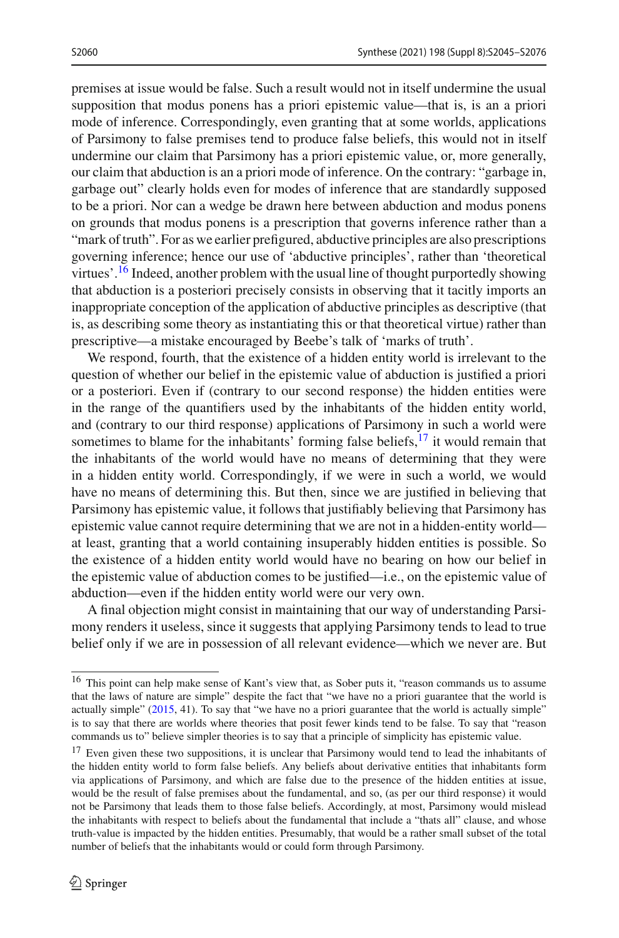premises at issue would be false. Such a result would not in itself undermine the usual supposition that modus ponens has a priori epistemic value—that is, is an a priori mode of inference. Correspondingly, even granting that at some worlds, applications of Parsimony to false premises tend to produce false beliefs, this would not in itself undermine our claim that Parsimony has a priori epistemic value, or, more generally, our claim that abduction is an a priori mode of inference. On the contrary: "garbage in, garbage out" clearly holds even for modes of inference that are standardly supposed to be a priori. Nor can a wedge be drawn here between abduction and modus ponens on grounds that modus ponens is a prescription that governs inference rather than a "mark of truth". For as we earlier prefigured, abductive principles are also prescriptions governing inference; hence our use of 'abductive principles', rather than 'theoretical virtues'.<sup>16</sup> Indeed, another problem with the usual line of thought purportedly showing that abduction is a posteriori precisely consists in observing that it tacitly imports an inappropriate conception of the application of abductive principles as descriptive (that is, as describing some theory as instantiating this or that theoretical virtue) rather than prescriptive—a mistake encouraged by Beebe's talk of 'marks of truth'.

We respond, fourth, that the existence of a hidden entity world is irrelevant to the question of whether our belief in the epistemic value of abduction is justified a priori or a posteriori. Even if (contrary to our second response) the hidden entities were in the range of the quantifiers used by the inhabitants of the hidden entity world, and (contrary to our third response) applications of Parsimony in such a world were sometimes to blame for the inhabitants' forming false beliefs, $17$  it would remain that the inhabitants of the world would have no means of determining that they were in a hidden entity world. Correspondingly, if we were in such a world, we would have no means of determining this. But then, since we are justified in believing that Parsimony has epistemic value, it follows that justifiably believing that Parsimony has epistemic value cannot require determining that we are not in a hidden-entity world at least, granting that a world containing insuperably hidden entities is possible. So the existence of a hidden entity world would have no bearing on how our belief in the epistemic value of abduction comes to be justified—i.e., on the epistemic value of abduction—even if the hidden entity world were our very own.

A final objection might consist in maintaining that our way of understanding Parsimony renders it useless, since it suggests that applying Parsimony tends to lead to true belief only if we are in possession of all relevant evidence—which we never are. But

<span id="page-15-0"></span><sup>16</sup> This point can help make sense of Kant's view that, as Sober puts it, "reason commands us to assume that the laws of nature are simple" despite the fact that "we have no a priori guarantee that the world is actually simple"  $(2015, 41)$  $(2015, 41)$ . To say that "we have no a priori guarantee that the world is actually simple" is to say that there are worlds where theories that posit fewer kinds tend to be false. To say that "reason commands us to" believe simpler theories is to say that a principle of simplicity has epistemic value.

<span id="page-15-1"></span><sup>&</sup>lt;sup>17</sup> Even given these two suppositions, it is unclear that Parsimony would tend to lead the inhabitants of the hidden entity world to form false beliefs. Any beliefs about derivative entities that inhabitants form via applications of Parsimony, and which are false due to the presence of the hidden entities at issue, would be the result of false premises about the fundamental, and so, (as per our third response) it would not be Parsimony that leads them to those false beliefs. Accordingly, at most, Parsimony would mislead the inhabitants with respect to beliefs about the fundamental that include a "thats all" clause, and whose truth-value is impacted by the hidden entities. Presumably, that would be a rather small subset of the total number of beliefs that the inhabitants would or could form through Parsimony.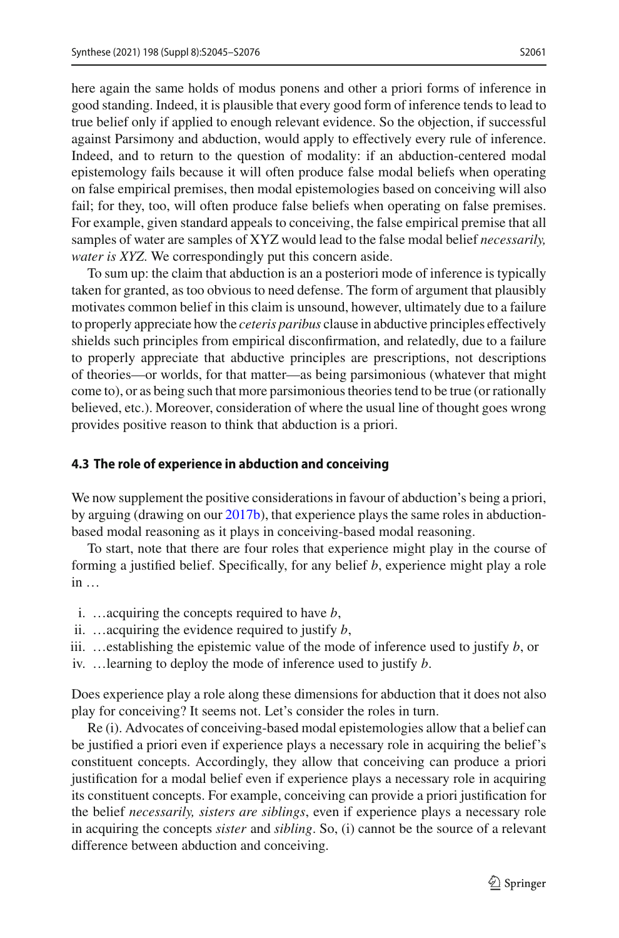here again the same holds of modus ponens and other a priori forms of inference in good standing. Indeed, it is plausible that every good form of inference tends to lead to true belief only if applied to enough relevant evidence. So the objection, if successful against Parsimony and abduction, would apply to effectively every rule of inference. Indeed, and to return to the question of modality: if an abduction-centered modal epistemology fails because it will often produce false modal beliefs when operating on false empirical premises, then modal epistemologies based on conceiving will also fail; for they, too, will often produce false beliefs when operating on false premises. For example, given standard appeals to conceiving, the false empirical premise that all samples of water are samples of XYZ would lead to the false modal belief *necessarily, water is XYZ*. We correspondingly put this concern aside.

To sum up: the claim that abduction is an a posteriori mode of inference is typically taken for granted, as too obvious to need defense. The form of argument that plausibly motivates common belief in this claim is unsound, however, ultimately due to a failure to properly appreciate how the *ceteris paribus* clause in abductive principles effectively shields such principles from empirical disconfirmation, and relatedly, due to a failure to properly appreciate that abductive principles are prescriptions, not descriptions of theories—or worlds, for that matter—as being parsimonious (whatever that might come to), or as being such that more parsimonious theories tend to be true (or rationally believed, etc.). Moreover, consideration of where the usual line of thought goes wrong provides positive reason to think that abduction is a priori.

### <span id="page-16-0"></span>**4.3 The role of experience in abduction and conceiving**

We now supplement the positive considerations in favour of abduction's being a priori, by arguing (drawing on our [2017b\)](#page-30-3), that experience plays the same roles in abductionbased modal reasoning as it plays in conceiving-based modal reasoning.

To start, note that there are four roles that experience might play in the course of forming a justified belief. Specifically, for any belief *b*, experience might play a role in …

- i. …acquiring the concepts required to have *b*,
- ii. …acquiring the evidence required to justify *b*,
- iii.  $\ldots$ establishing the epistemic value of the mode of inference used to justify *b*, or
- iv. …learning to deploy the mode of inference used to justify *b*.

Does experience play a role along these dimensions for abduction that it does not also play for conceiving? It seems not. Let's consider the roles in turn.

Re (i). Advocates of conceiving-based modal epistemologies allow that a belief can be justified a priori even if experience plays a necessary role in acquiring the belief's constituent concepts. Accordingly, they allow that conceiving can produce a priori justification for a modal belief even if experience plays a necessary role in acquiring its constituent concepts. For example, conceiving can provide a priori justification for the belief *necessarily, sisters are siblings*, even if experience plays a necessary role in acquiring the concepts *sister* and *sibling*. So, (i) cannot be the source of a relevant difference between abduction and conceiving.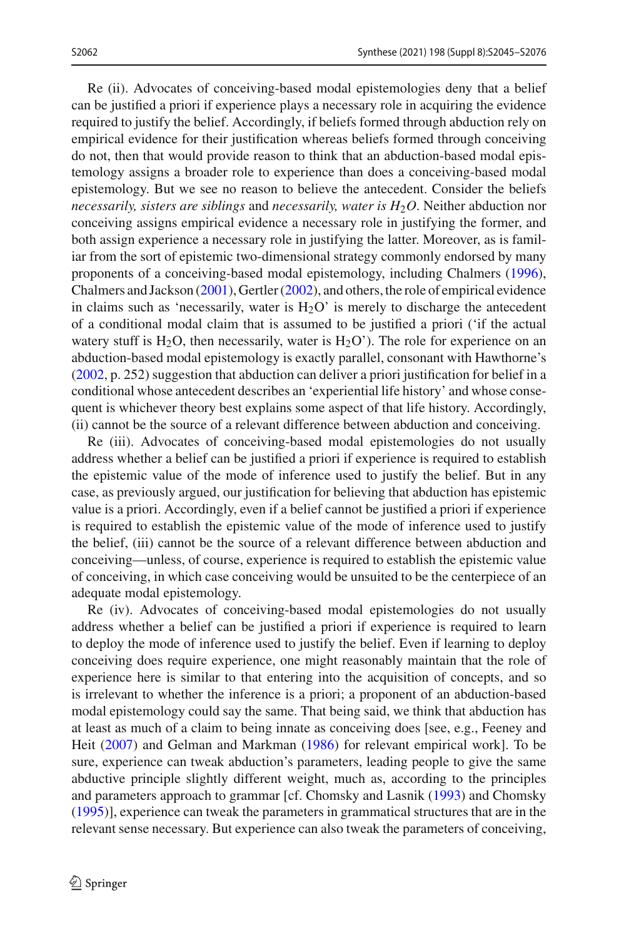Re (ii). Advocates of conceiving-based modal epistemologies deny that a belief can be justified a priori if experience plays a necessary role in acquiring the evidence required to justify the belief. Accordingly, if beliefs formed through abduction rely on empirical evidence for their justification whereas beliefs formed through conceiving do not, then that would provide reason to think that an abduction-based modal epistemology assigns a broader role to experience than does a conceiving-based modal epistemology. But we see no reason to believe the antecedent. Consider the beliefs *necessarily, sisters are siblings* and *necessarily, water is H*2*O*. Neither abduction nor conceiving assigns empirical evidence a necessary role in justifying the former, and both assign experience a necessary role in justifying the latter. Moreover, as is familiar from the sort of epistemic two-dimensional strategy commonly endorsed by many proponents of a conceiving-based modal epistemology, including Chalmer[s](#page-30-5) [\(1996](#page-30-5)), Chalmers and Jackso[n](#page-30-8) [\(2001](#page-30-8)), Gertle[r](#page-30-9) [\(2002](#page-30-9)), and others, the role of empirical evidence in claims such as 'necessarily, water is  $H<sub>2</sub>O'$  is merely to discharge the antecedent of a conditional modal claim that is assumed to be justified a priori ('if the actual watery stuff is H<sub>2</sub>O, then necessarily, water is H<sub>2</sub>O'). The role for experience on an abduction-based modal epistemology is exactly parallel, consonant with Hawthorne's [\(2002,](#page-30-25) p. 252) suggestion that abduction can deliver a priori justification for belief in a conditional whose antecedent describes an 'experiential life history' and whose consequent is whichever theory best explains some aspect of that life history. Accordingly, (ii) cannot be the source of a relevant difference between abduction and conceiving.

Re (iii). Advocates of conceiving-based modal epistemologies do not usually address whether a belief can be justified a priori if experience is required to establish the epistemic value of the mode of inference used to justify the belief. But in any case, as previously argued, our justification for believing that abduction has epistemic value is a priori. Accordingly, even if a belief cannot be justified a priori if experience is required to establish the epistemic value of the mode of inference used to justify the belief, (iii) cannot be the source of a relevant difference between abduction and conceiving—unless, of course, experience is required to establish the epistemic value of conceiving, in which case conceiving would be unsuited to be the centerpiece of an adequate modal epistemology.

Re (iv). Advocates of conceiving-based modal epistemologies do not usually address whether a belief can be justified a priori if experience is required to learn to deploy the mode of inference used to justify the belief. Even if learning to deploy conceiving does require experience, one might reasonably maintain that the role of experience here is similar to that entering into the acquisition of concepts, and so is irrelevant to whether the inference is a priori; a proponent of an abduction-based modal epistemology could say the same. That being said, we think that abduction has at least as much of a claim to being innate as conceiving does [see, e.g., Feeney and Hei[t](#page-30-26) [\(2007\)](#page-30-26) and Gelman and Markma[n](#page-30-27) [\(1986](#page-30-27)) for relevant empirical work]. To be sure, experience can tweak abduction's parameters, leading people to give the same abductive principle slightly different weight, much as, according to the principles and parameters approach to grammar [cf. Chomsky and Lasni[k](#page-30-28) [\(1993](#page-30-28)) and Chomsk[y](#page-30-29) [\(1995\)](#page-30-29)], experience can tweak the parameters in grammatical structures that are in the relevant sense necessary. But experience can also tweak the parameters of conceiving,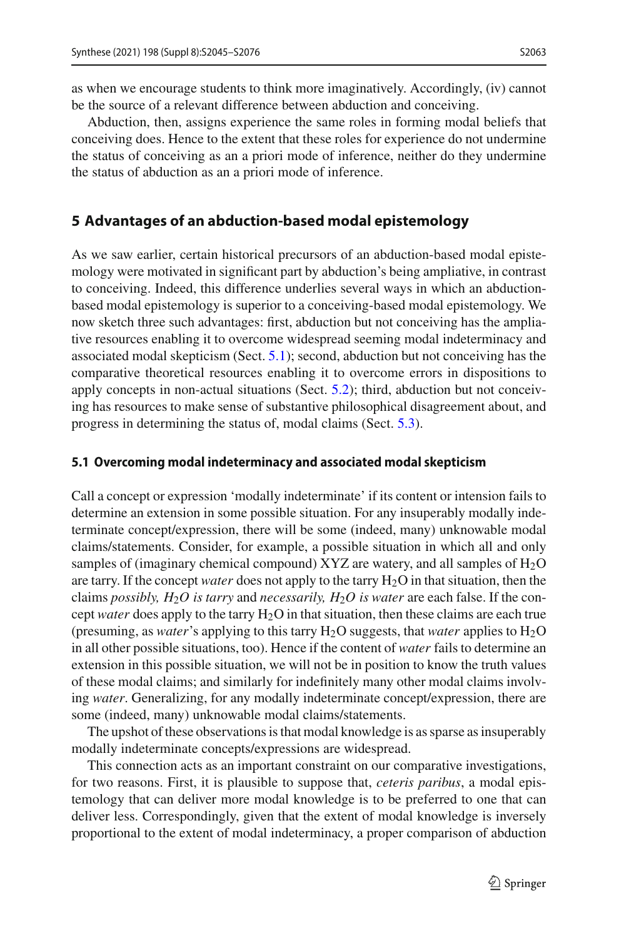as when we encourage students to think more imaginatively. Accordingly, (iv) cannot be the source of a relevant difference between abduction and conceiving.

Abduction, then, assigns experience the same roles in forming modal beliefs that conceiving does. Hence to the extent that these roles for experience do not undermine the status of conceiving as an a priori mode of inference, neither do they undermine the status of abduction as an a priori mode of inference.

### <span id="page-18-0"></span>**5 Advantages of an abduction-based modal epistemology**

As we saw earlier, certain historical precursors of an abduction-based modal epistemology were motivated in significant part by abduction's being ampliative, in contrast to conceiving. Indeed, this difference underlies several ways in which an abductionbased modal epistemology is superior to a conceiving-based modal epistemology. We now sketch three such advantages: first, abduction but not conceiving has the ampliative resources enabling it to overcome widespread seeming modal indeterminacy and associated modal skepticism (Sect. [5.1\)](#page-18-1); second, abduction but not conceiving has the comparative theoretical resources enabling it to overcome errors in dispositions to apply concepts in non-actual situations (Sect. [5.2\)](#page-25-0); third, abduction but not conceiving has resources to make sense of substantive philosophical disagreement about, and progress in determining the status of, modal claims (Sect. [5.3\)](#page-27-0).

#### <span id="page-18-1"></span>**5.1 Overcoming modal indeterminacy and associated modal skepticism**

Call a concept or expression 'modally indeterminate' if its content or intension fails to determine an extension in some possible situation. For any insuperably modally indeterminate concept/expression, there will be some (indeed, many) unknowable modal claims/statements. Consider, for example, a possible situation in which all and only samples of (imaginary chemical compound)  $XYZ$  are watery, and all samples of  $H_2O$ are tarry. If the concept *water* does not apply to the tarry H<sub>2</sub>O in that situation, then the claims *possibly, H*2*O is tarry* and *necessarily, H*2*O is water* are each false. If the concept *water* does apply to the tarry H2O in that situation, then these claims are each true (presuming, as *water*'s applying to this tarry  $H_2O$  suggests, that *water* applies to  $H_2O$ in all other possible situations, too). Hence if the content of *water* fails to determine an extension in this possible situation, we will not be in position to know the truth values of these modal claims; and similarly for indefinitely many other modal claims involving *water*. Generalizing, for any modally indeterminate concept/expression, there are some (indeed, many) unknowable modal claims/statements.

The upshot of these observations is that modal knowledge is as sparse as insuperably modally indeterminate concepts/expressions are widespread.

This connection acts as an important constraint on our comparative investigations, for two reasons. First, it is plausible to suppose that, *ceteris paribus*, a modal epistemology that can deliver more modal knowledge is to be preferred to one that can deliver less. Correspondingly, given that the extent of modal knowledge is inversely proportional to the extent of modal indeterminacy, a proper comparison of abduction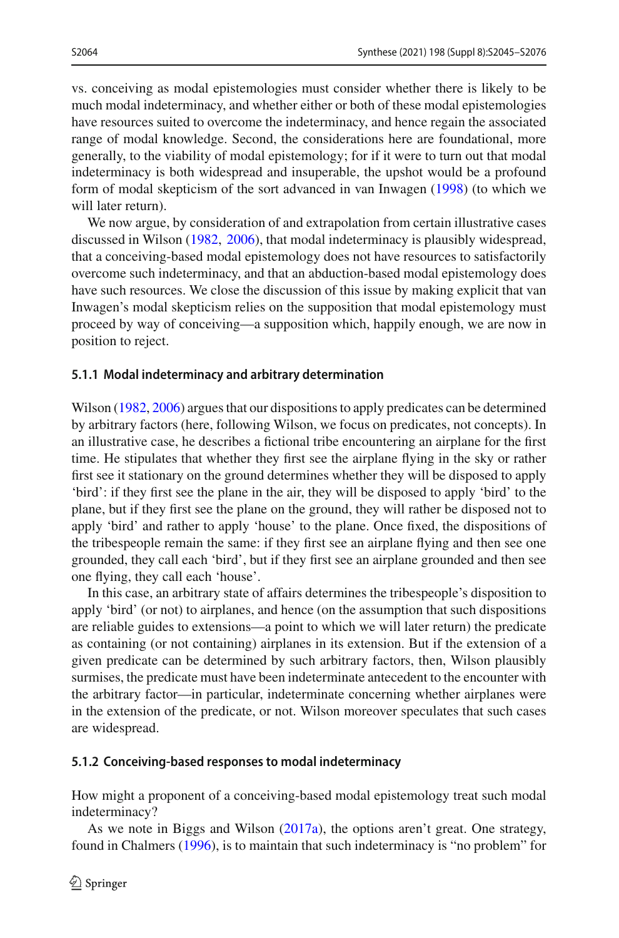vs. conceiving as modal epistemologies must consider whether there is likely to be much modal indeterminacy, and whether either or both of these modal epistemologies have resources suited to overcome the indeterminacy, and hence regain the associated range of modal knowledge. Second, the considerations here are foundational, more generally, to the viability of modal epistemology; for if it were to turn out that modal indeterminacy is both widespread and insuperable, the upshot would be a profound form of modal skepticism of the sort advanced in van Inwage[n](#page-31-29) [\(1998](#page-31-29)) (to which we will later return).

We now argue, by consideration of and extrapolation from certain illustrative cases discussed in Wilso[n](#page-31-30) [\(1982](#page-31-30), [2006](#page-31-31)), that modal indeterminacy is plausibly widespread, that a conceiving-based modal epistemology does not have resources to satisfactorily overcome such indeterminacy, and that an abduction-based modal epistemology does have such resources. We close the discussion of this issue by making explicit that van Inwagen's modal skepticism relies on the supposition that modal epistemology must proceed by way of conceiving—a supposition which, happily enough, we are now in position to reject.

#### **5.1.1 Modal indeterminacy and arbitrary determination**

Wilson [\(1982](#page-31-30), [2006](#page-31-31)) argues that our dispositions to apply predicates can be determined by arbitrary factors (here, following Wilson, we focus on predicates, not concepts). In an illustrative case, he describes a fictional tribe encountering an airplane for the first time. He stipulates that whether they first see the airplane flying in the sky or rather first see it stationary on the ground determines whether they will be disposed to apply 'bird': if they first see the plane in the air, they will be disposed to apply 'bird' to the plane, but if they first see the plane on the ground, they will rather be disposed not to apply 'bird' and rather to apply 'house' to the plane. Once fixed, the dispositions of the tribespeople remain the same: if they first see an airplane flying and then see one grounded, they call each 'bird', but if they first see an airplane grounded and then see one flying, they call each 'house'.

In this case, an arbitrary state of affairs determines the tribespeople's disposition to apply 'bird' (or not) to airplanes, and hence (on the assumption that such dispositions are reliable guides to extensions—a point to which we will later return) the predicate as containing (or not containing) airplanes in its extension. But if the extension of a given predicate can be determined by such arbitrary factors, then, Wilson plausibly surmises, the predicate must have been indeterminate antecedent to the encounter with the arbitrary factor—in particular, indeterminate concerning whether airplanes were in the extension of the predicate, or not. Wilson moreover speculates that such cases are widespread.

#### **5.1.2 Conceiving-based responses to modal indeterminacy**

How might a proponent of a conceiving-based modal epistemology treat such modal indeterminacy?

As we note in Biggs and Wilso[n](#page-30-2) [\(2017a](#page-30-2)), the options aren't great. One strategy, found in Chalmer[s](#page-30-5) [\(1996\)](#page-30-5), is to maintain that such indeterminacy is "no problem" for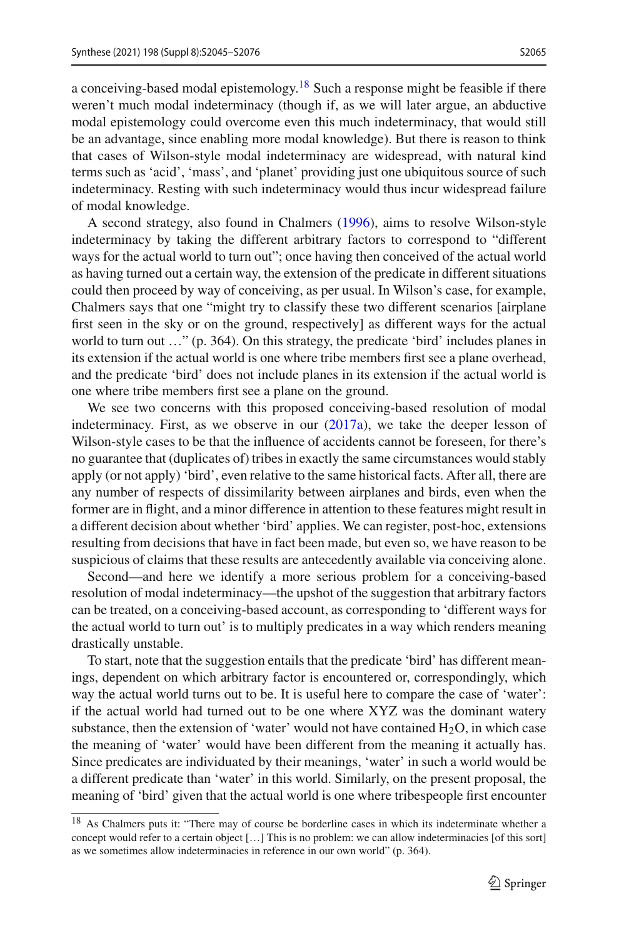a conceiving-based modal epistemology.<sup>18</sup> Such a response might be feasible if there weren't much modal indeterminacy (though if, as we will later argue, an abductive modal epistemology could overcome even this much indeterminacy, that would still be an advantage, since enabling more modal knowledge). But there is reason to think that cases of Wilson-style modal indeterminacy are widespread, with natural kind terms such as 'acid', 'mass', and 'planet' providing just one ubiquitous source of such indeterminacy. Resting with such indeterminacy would thus incur widespread failure of modal knowledge.

A second strategy, also found in Chalmer[s](#page-30-5) [\(1996\)](#page-30-5), aims to resolve Wilson-style indeterminacy by taking the different arbitrary factors to correspond to "different ways for the actual world to turn out"; once having then conceived of the actual world as having turned out a certain way, the extension of the predicate in different situations could then proceed by way of conceiving, as per usual. In Wilson's case, for example, Chalmers says that one "might try to classify these two different scenarios [airplane first seen in the sky or on the ground, respectively] as different ways for the actual world to turn out …" (p. 364). On this strategy, the predicate 'bird' includes planes in its extension if the actual world is one where tribe members first see a plane overhead, and the predicate 'bird' does not include planes in its extension if the actual world is one where tribe members first see a plane on the ground.

We see two concerns with this proposed conceiving-based resolution of modal indeterminacy. First, as we observe in our  $(2017a)$ , we take the deeper lesson of Wilson-style cases to be that the influence of accidents cannot be foreseen, for there's no guarantee that (duplicates of) tribes in exactly the same circumstances would stably apply (or not apply) 'bird', even relative to the same historical facts. After all, there are any number of respects of dissimilarity between airplanes and birds, even when the former are in flight, and a minor difference in attention to these features might result in a different decision about whether 'bird' applies. We can register, post-hoc, extensions resulting from decisions that have in fact been made, but even so, we have reason to be suspicious of claims that these results are antecedently available via conceiving alone.

Second—and here we identify a more serious problem for a conceiving-based resolution of modal indeterminacy—the upshot of the suggestion that arbitrary factors can be treated, on a conceiving-based account, as corresponding to 'different ways for the actual world to turn out' is to multiply predicates in a way which renders meaning drastically unstable.

To start, note that the suggestion entails that the predicate 'bird' has different meanings, dependent on which arbitrary factor is encountered or, correspondingly, which way the actual world turns out to be. It is useful here to compare the case of 'water': if the actual world had turned out to be one where XYZ was the dominant watery substance, then the extension of 'water' would not have contained  $H_2O$ , in which case the meaning of 'water' would have been different from the meaning it actually has. Since predicates are individuated by their meanings, 'water' in such a world would be a different predicate than 'water' in this world. Similarly, on the present proposal, the meaning of 'bird' given that the actual world is one where tribespeople first encounter

<span id="page-20-0"></span><sup>18</sup> As Chalmers puts it: "There may of course be borderline cases in which its indeterminate whether a concept would refer to a certain object […] This is no problem: we can allow indeterminacies [of this sort] as we sometimes allow indeterminacies in reference in our own world" (p. 364).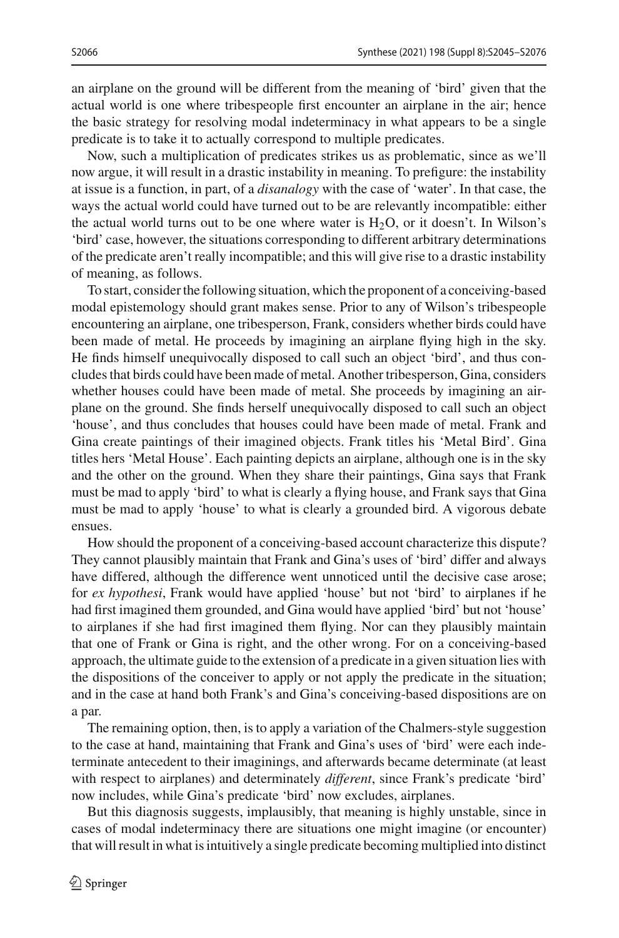an airplane on the ground will be different from the meaning of 'bird' given that the

actual world is one where tribespeople first encounter an airplane in the air; hence the basic strategy for resolving modal indeterminacy in what appears to be a single predicate is to take it to actually correspond to multiple predicates.

Now, such a multiplication of predicates strikes us as problematic, since as we'll now argue, it will result in a drastic instability in meaning. To prefigure: the instability at issue is a function, in part, of a *disanalogy* with the case of 'water'. In that case, the ways the actual world could have turned out to be are relevantly incompatible: either the actual world turns out to be one where water is  $H_2O$ , or it doesn't. In Wilson's 'bird' case, however, the situations corresponding to different arbitrary determinations of the predicate aren't really incompatible; and this will give rise to a drastic instability of meaning, as follows.

To start, consider the following situation, which the proponent of a conceiving-based modal epistemology should grant makes sense. Prior to any of Wilson's tribespeople encountering an airplane, one tribesperson, Frank, considers whether birds could have been made of metal. He proceeds by imagining an airplane flying high in the sky. He finds himself unequivocally disposed to call such an object 'bird', and thus concludes that birds could have been made of metal. Another tribesperson, Gina, considers whether houses could have been made of metal. She proceeds by imagining an airplane on the ground. She finds herself unequivocally disposed to call such an object 'house', and thus concludes that houses could have been made of metal. Frank and Gina create paintings of their imagined objects. Frank titles his 'Metal Bird'. Gina titles hers 'Metal House'. Each painting depicts an airplane, although one is in the sky and the other on the ground. When they share their paintings, Gina says that Frank must be mad to apply 'bird' to what is clearly a flying house, and Frank says that Gina must be mad to apply 'house' to what is clearly a grounded bird. A vigorous debate ensues.

How should the proponent of a conceiving-based account characterize this dispute? They cannot plausibly maintain that Frank and Gina's uses of 'bird' differ and always have differed, although the difference went unnoticed until the decisive case arose; for *ex hypothesi*, Frank would have applied 'house' but not 'bird' to airplanes if he had first imagined them grounded, and Gina would have applied 'bird' but not 'house' to airplanes if she had first imagined them flying. Nor can they plausibly maintain that one of Frank or Gina is right, and the other wrong. For on a conceiving-based approach, the ultimate guide to the extension of a predicate in a given situation lies with the dispositions of the conceiver to apply or not apply the predicate in the situation; and in the case at hand both Frank's and Gina's conceiving-based dispositions are on a par.

The remaining option, then, is to apply a variation of the Chalmers-style suggestion to the case at hand, maintaining that Frank and Gina's uses of 'bird' were each indeterminate antecedent to their imaginings, and afterwards became determinate (at least with respect to airplanes) and determinately *different*, since Frank's predicate 'bird' now includes, while Gina's predicate 'bird' now excludes, airplanes.

But this diagnosis suggests, implausibly, that meaning is highly unstable, since in cases of modal indeterminacy there are situations one might imagine (or encounter) that will result in what is intuitively a single predicate becoming multiplied into distinct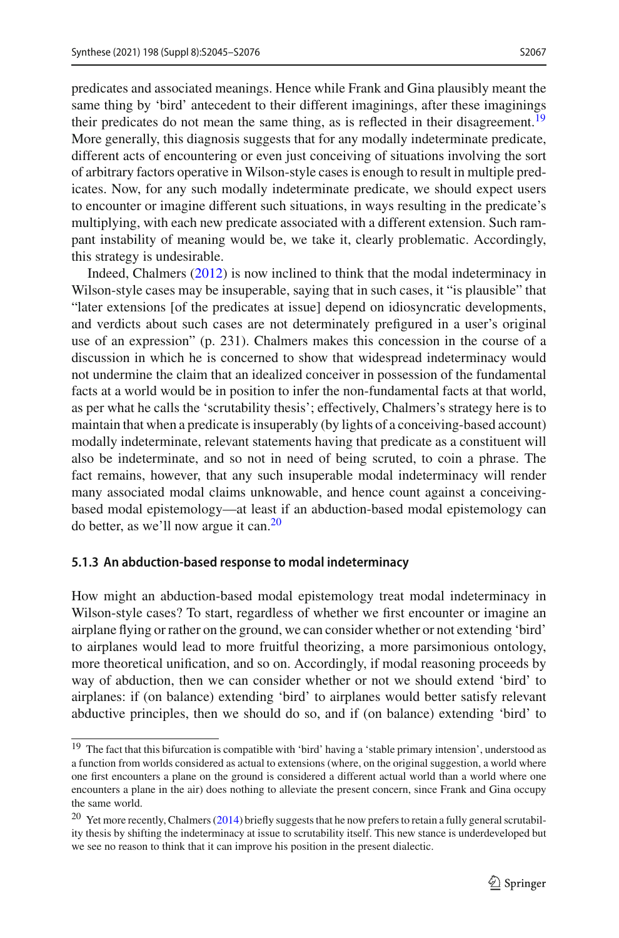predicates and associated meanings. Hence while Frank and Gina plausibly meant the same thing by 'bird' antecedent to their different imaginings, after these imaginings their predicates do not mean the same thing, as is reflected in their disagreement.<sup>[19](#page-22-0)</sup> More generally, this diagnosis suggests that for any modally indeterminate predicate, different acts of encountering or even just conceiving of situations involving the sort of arbitrary factors operative in Wilson-style cases is enough to result in multiple predicates. Now, for any such modally indeterminate predicate, we should expect users to encounter or imagine different such situations, in ways resulting in the predicate's multiplying, with each new predicate associated with a different extension. Such rampant instability of meaning would be, we take it, clearly problematic. Accordingly, this strategy is undesirable.

Indeed, Chalmer[s](#page-30-10) [\(2012](#page-30-10)) is now inclined to think that the modal indeterminacy in Wilson-style cases may be insuperable, saying that in such cases, it "is plausible" that "later extensions [of the predicates at issue] depend on idiosyncratic developments, and verdicts about such cases are not determinately prefigured in a user's original use of an expression" (p. 231). Chalmers makes this concession in the course of a discussion in which he is concerned to show that widespread indeterminacy would not undermine the claim that an idealized conceiver in possession of the fundamental facts at a world would be in position to infer the non-fundamental facts at that world, as per what he calls the 'scrutability thesis'; effectively, Chalmers's strategy here is to maintain that when a predicate is insuperably (by lights of a conceiving-based account) modally indeterminate, relevant statements having that predicate as a constituent will also be indeterminate, and so not in need of being scruted, to coin a phrase. The fact remains, however, that any such insuperable modal indeterminacy will render many associated modal claims unknowable, and hence count against a conceivingbased modal epistemology—at least if an abduction-based modal epistemology can do better, as we'll now argue it can.[20](#page-22-1)

### **5.1.3 An abduction-based response to modal indeterminacy**

How might an abduction-based modal epistemology treat modal indeterminacy in Wilson-style cases? To start, regardless of whether we first encounter or imagine an airplane flying or rather on the ground, we can consider whether or not extending 'bird' to airplanes would lead to more fruitful theorizing, a more parsimonious ontology, more theoretical unification, and so on. Accordingly, if modal reasoning proceeds by way of abduction, then we can consider whether or not we should extend 'bird' to airplanes: if (on balance) extending 'bird' to airplanes would better satisfy relevant abductive principles, then we should do so, and if (on balance) extending 'bird' to

<span id="page-22-0"></span><sup>19</sup> The fact that this bifurcation is compatible with 'bird' having a 'stable primary intension', understood as a function from worlds considered as actual to extensions (where, on the original suggestion, a world where one first encounters a plane on the ground is considered a different actual world than a world where one encounters a plane in the air) does nothing to alleviate the present concern, since Frank and Gina occupy the same world.

<span id="page-22-1"></span><sup>20</sup> Yet more recently, Chalmer[s](#page-30-30) [\(2014\)](#page-30-30) briefly suggests that he now prefers to retain a fully general scrutability thesis by shifting the indeterminacy at issue to scrutability itself. This new stance is underdeveloped but we see no reason to think that it can improve his position in the present dialectic.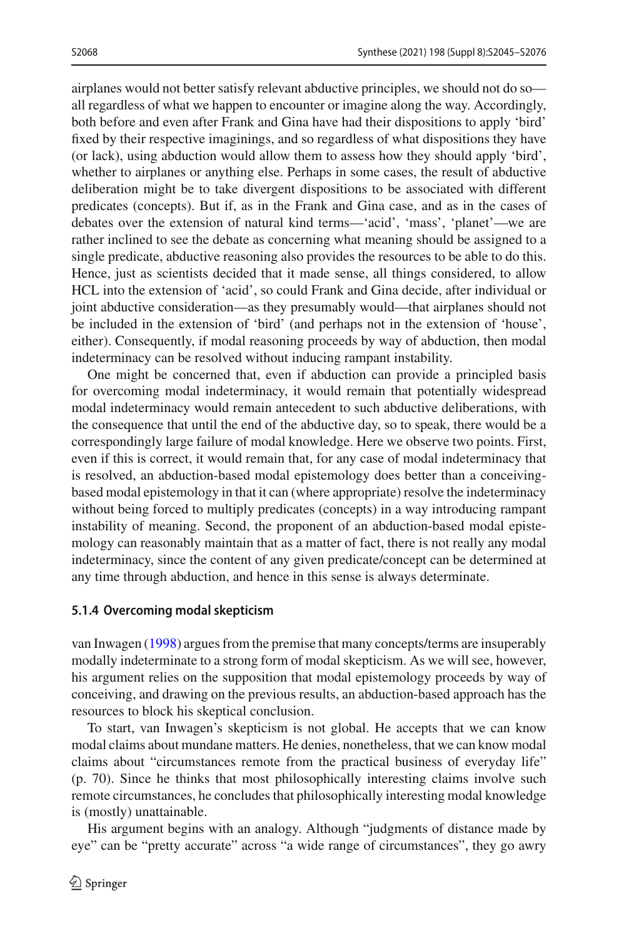airplanes would not better satisfy relevant abductive principles, we should not do so all regardless of what we happen to encounter or imagine along the way. Accordingly, both before and even after Frank and Gina have had their dispositions to apply 'bird' fixed by their respective imaginings, and so regardless of what dispositions they have (or lack), using abduction would allow them to assess how they should apply 'bird', whether to airplanes or anything else. Perhaps in some cases, the result of abductive deliberation might be to take divergent dispositions to be associated with different predicates (concepts). But if, as in the Frank and Gina case, and as in the cases of debates over the extension of natural kind terms—'acid', 'mass', 'planet'—we are rather inclined to see the debate as concerning what meaning should be assigned to a single predicate, abductive reasoning also provides the resources to be able to do this. Hence, just as scientists decided that it made sense, all things considered, to allow HCL into the extension of 'acid', so could Frank and Gina decide, after individual or joint abductive consideration—as they presumably would—that airplanes should not be included in the extension of 'bird' (and perhaps not in the extension of 'house', either). Consequently, if modal reasoning proceeds by way of abduction, then modal indeterminacy can be resolved without inducing rampant instability.

One might be concerned that, even if abduction can provide a principled basis for overcoming modal indeterminacy, it would remain that potentially widespread modal indeterminacy would remain antecedent to such abductive deliberations, with the consequence that until the end of the abductive day, so to speak, there would be a correspondingly large failure of modal knowledge. Here we observe two points. First, even if this is correct, it would remain that, for any case of modal indeterminacy that is resolved, an abduction-based modal epistemology does better than a conceivingbased modal epistemology in that it can (where appropriate) resolve the indeterminacy without being forced to multiply predicates (concepts) in a way introducing rampant instability of meaning. Second, the proponent of an abduction-based modal epistemology can reasonably maintain that as a matter of fact, there is not really any modal indeterminacy, since the content of any given predicate/concept can be determined at any time through abduction, and hence in this sense is always determinate.

### **5.1.4 Overcoming modal skepticism**

van Inwage[n](#page-31-29) [\(1998\)](#page-31-29) argues from the premise that many concepts/terms are insuperably modally indeterminate to a strong form of modal skepticism. As we will see, however, his argument relies on the supposition that modal epistemology proceeds by way of conceiving, and drawing on the previous results, an abduction-based approach has the resources to block his skeptical conclusion.

To start, van Inwagen's skepticism is not global. He accepts that we can know modal claims about mundane matters. He denies, nonetheless, that we can know modal claims about "circumstances remote from the practical business of everyday life" (p. 70). Since he thinks that most philosophically interesting claims involve such remote circumstances, he concludes that philosophically interesting modal knowledge is (mostly) unattainable.

His argument begins with an analogy. Although "judgments of distance made by eye" can be "pretty accurate" across "a wide range of circumstances", they go awry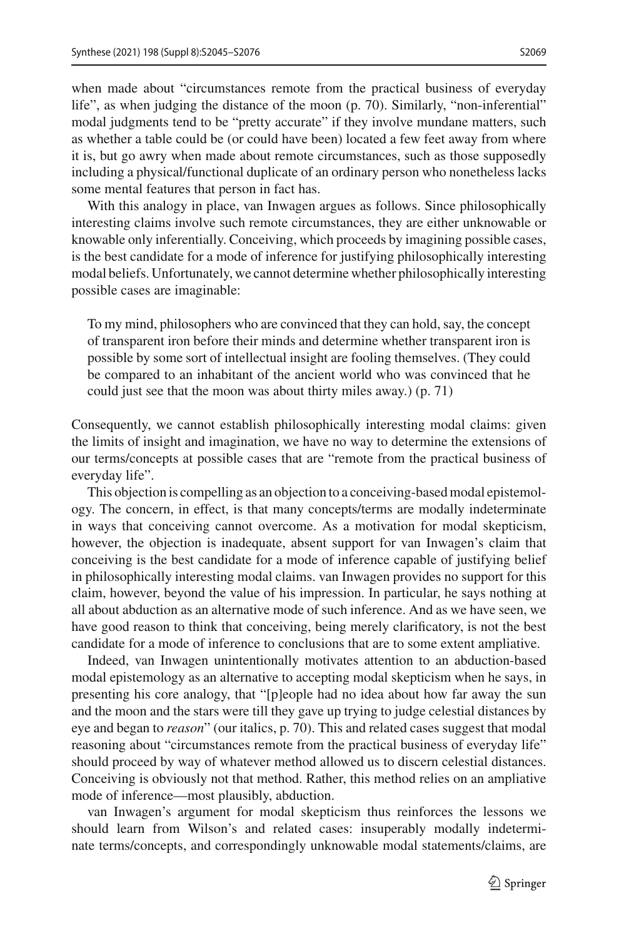when made about "circumstances remote from the practical business of everyday life", as when judging the distance of the moon (p. 70). Similarly, "non-inferential" modal judgments tend to be "pretty accurate" if they involve mundane matters, such

as whether a table could be (or could have been) located a few feet away from where it is, but go awry when made about remote circumstances, such as those supposedly including a physical/functional duplicate of an ordinary person who nonetheless lacks some mental features that person in fact has.

With this analogy in place, van Inwagen argues as follows. Since philosophically interesting claims involve such remote circumstances, they are either unknowable or knowable only inferentially. Conceiving, which proceeds by imagining possible cases, is the best candidate for a mode of inference for justifying philosophically interesting modal beliefs. Unfortunately, we cannot determine whether philosophically interesting possible cases are imaginable:

To my mind, philosophers who are convinced that they can hold, say, the concept of transparent iron before their minds and determine whether transparent iron is possible by some sort of intellectual insight are fooling themselves. (They could be compared to an inhabitant of the ancient world who was convinced that he could just see that the moon was about thirty miles away.) (p. 71)

Consequently, we cannot establish philosophically interesting modal claims: given the limits of insight and imagination, we have no way to determine the extensions of our terms/concepts at possible cases that are "remote from the practical business of everyday life".

This objection is compelling as an objection to a conceiving-based modal epistemology. The concern, in effect, is that many concepts/terms are modally indeterminate in ways that conceiving cannot overcome. As a motivation for modal skepticism, however, the objection is inadequate, absent support for van Inwagen's claim that conceiving is the best candidate for a mode of inference capable of justifying belief in philosophically interesting modal claims. van Inwagen provides no support for this claim, however, beyond the value of his impression. In particular, he says nothing at all about abduction as an alternative mode of such inference. And as we have seen, we have good reason to think that conceiving, being merely clarificatory, is not the best candidate for a mode of inference to conclusions that are to some extent ampliative.

Indeed, van Inwagen unintentionally motivates attention to an abduction-based modal epistemology as an alternative to accepting modal skepticism when he says, in presenting his core analogy, that "[p]eople had no idea about how far away the sun and the moon and the stars were till they gave up trying to judge celestial distances by eye and began to *reason*" (our italics, p. 70). This and related cases suggest that modal reasoning about "circumstances remote from the practical business of everyday life" should proceed by way of whatever method allowed us to discern celestial distances. Conceiving is obviously not that method. Rather, this method relies on an ampliative mode of inference—most plausibly, abduction.

van Inwagen's argument for modal skepticism thus reinforces the lessons we should learn from Wilson's and related cases: insuperably modally indeterminate terms/concepts, and correspondingly unknowable modal statements/claims, are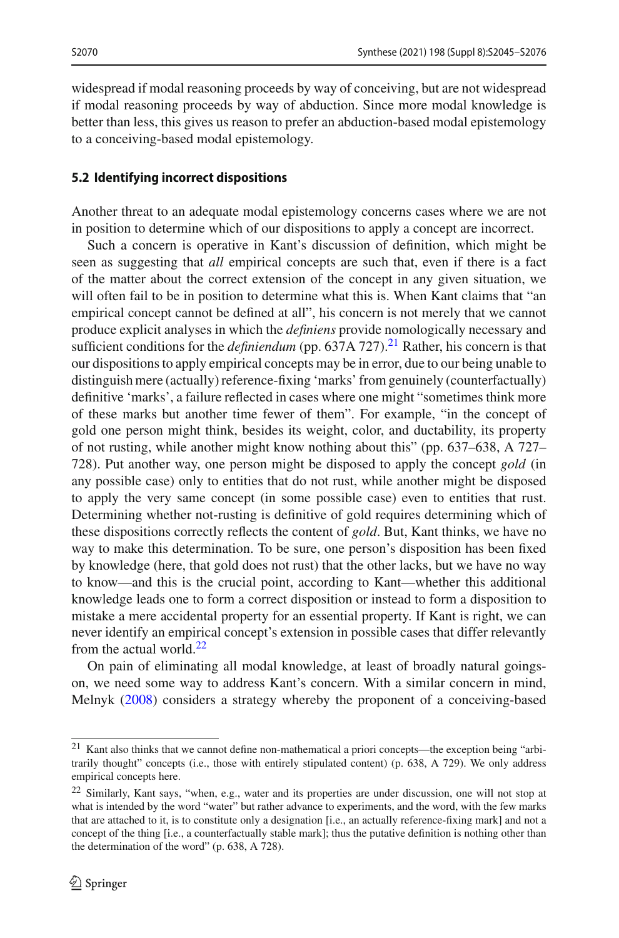widespread if modal reasoning proceeds by way of conceiving, but are not widespread if modal reasoning proceeds by way of abduction. Since more modal knowledge is better than less, this gives us reason to prefer an abduction-based modal epistemology to a conceiving-based modal epistemology.

### <span id="page-25-0"></span>**5.2 Identifying incorrect dispositions**

Another threat to an adequate modal epistemology concerns cases where we are not in position to determine which of our dispositions to apply a concept are incorrect.

Such a concern is operative in Kant's discussion of definition, which might be seen as suggesting that *all* empirical concepts are such that, even if there is a fact of the matter about the correct extension of the concept in any given situation, we will often fail to be in position to determine what this is. When Kant claims that "an empirical concept cannot be defined at all", his concern is not merely that we cannot produce explicit analyses in which the *definiens* provide nomologically necessary and sufficient conditions for the *definiendum* (pp. 637A 727).<sup>[21](#page-25-1)</sup> Rather, his concern is that our dispositions to apply empirical concepts may be in error, due to our being unable to distinguish mere (actually) reference-fixing 'marks' from genuinely (counterfactually) definitive 'marks', a failure reflected in cases where one might "sometimes think more of these marks but another time fewer of them". For example, "in the concept of gold one person might think, besides its weight, color, and ductability, its property of not rusting, while another might know nothing about this" (pp. 637–638, A 727– 728). Put another way, one person might be disposed to apply the concept *gold* (in any possible case) only to entities that do not rust, while another might be disposed to apply the very same concept (in some possible case) even to entities that rust. Determining whether not-rusting is definitive of gold requires determining which of these dispositions correctly reflects the content of *gold*. But, Kant thinks, we have no way to make this determination. To be sure, one person's disposition has been fixed by knowledge (here, that gold does not rust) that the other lacks, but we have no way to know—and this is the crucial point, according to Kant—whether this additional knowledge leads one to form a correct disposition or instead to form a disposition to mistake a mere accidental property for an essential property. If Kant is right, we can never identify an empirical concept's extension in possible cases that differ relevantly from the actual world. $22$ 

On pain of eliminating all modal knowledge, at least of broadly natural goingson, we need some way to address Kant's concern. With a similar concern in mind, Melny[k](#page-31-6) [\(2008\)](#page-31-6) considers a strategy whereby the proponent of a conceiving-based

<span id="page-25-1"></span><sup>21</sup> Kant also thinks that we cannot define non-mathematical a priori concepts—the exception being "arbitrarily thought" concepts (i.e., those with entirely stipulated content) (p. 638, A 729). We only address empirical concepts here.

<span id="page-25-2"></span><sup>&</sup>lt;sup>22</sup> Similarly, Kant says, "when, e.g., water and its properties are under discussion, one will not stop at what is intended by the word "water" but rather advance to experiments, and the word, with the few marks that are attached to it, is to constitute only a designation [i.e., an actually reference-fixing mark] and not a concept of the thing [i.e., a counterfactually stable mark]; thus the putative definition is nothing other than the determination of the word" (p. 638, A 728).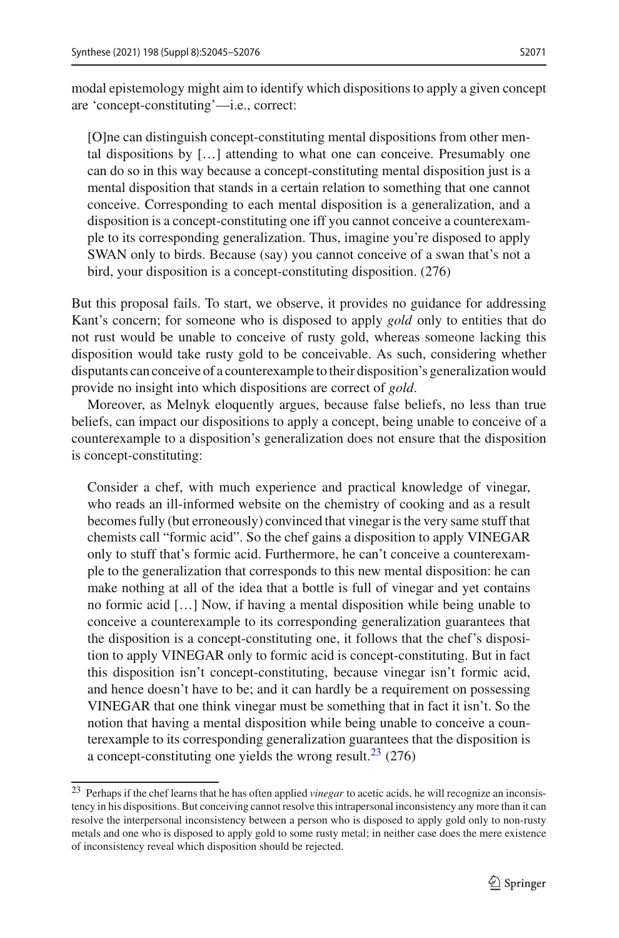modal epistemology might aim to identify which dispositions to apply a given concept are 'concept-constituting'—i.e., correct:

[O]ne can distinguish concept-constituting mental dispositions from other mental dispositions by […] attending to what one can conceive. Presumably one can do so in this way because a concept-constituting mental disposition just is a mental disposition that stands in a certain relation to something that one cannot conceive. Corresponding to each mental disposition is a generalization, and a disposition is a concept-constituting one iff you cannot conceive a counterexample to its corresponding generalization. Thus, imagine you're disposed to apply SWAN only to birds. Because (say) you cannot conceive of a swan that's not a bird, your disposition is a concept-constituting disposition. (276)

But this proposal fails. To start, we observe, it provides no guidance for addressing Kant's concern; for someone who is disposed to apply *gold* only to entities that do not rust would be unable to conceive of rusty gold, whereas someone lacking this disposition would take rusty gold to be conceivable. As such, considering whether disputants can conceive of a counterexample to their disposition's generalization would provide no insight into which dispositions are correct of *gold*.

Moreover, as Melnyk eloquently argues, because false beliefs, no less than true beliefs, can impact our dispositions to apply a concept, being unable to conceive of a counterexample to a disposition's generalization does not ensure that the disposition is concept-constituting:

Consider a chef, with much experience and practical knowledge of vinegar, who reads an ill-informed website on the chemistry of cooking and as a result becomes fully (but erroneously) convinced that vinegar is the very same stuff that chemists call "formic acid". So the chef gains a disposition to apply VINEGAR only to stuff that's formic acid. Furthermore, he can't conceive a counterexample to the generalization that corresponds to this new mental disposition: he can make nothing at all of the idea that a bottle is full of vinegar and yet contains no formic acid […] Now, if having a mental disposition while being unable to conceive a counterexample to its corresponding generalization guarantees that the disposition is a concept-constituting one, it follows that the chef's disposition to apply VINEGAR only to formic acid is concept-constituting. But in fact this disposition isn't concept-constituting, because vinegar isn't formic acid, and hence doesn't have to be; and it can hardly be a requirement on possessing VINEGAR that one think vinegar must be something that in fact it isn't. So the notion that having a mental disposition while being unable to conceive a counterexample to its corresponding generalization guarantees that the disposition is a concept-constituting one yields the wrong result.<sup>23</sup> (276)

<span id="page-26-0"></span><sup>23</sup> Perhaps if the chef learns that he has often applied *vinegar* to acetic acids, he will recognize an inconsistency in his dispositions. But conceiving cannot resolve this intrapersonal inconsistency any more than it can resolve the interpersonal inconsistency between a person who is disposed to apply gold only to non-rusty metals and one who is disposed to apply gold to some rusty metal; in neither case does the mere existence of inconsistency reveal which disposition should be rejected.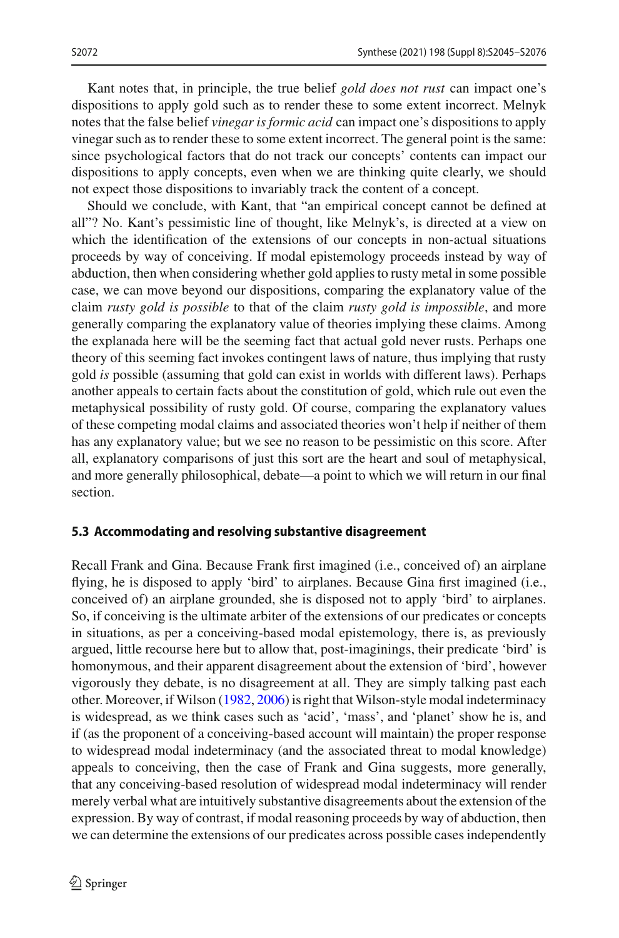Kant notes that, in principle, the true belief *gold does not rust* can impact one's dispositions to apply gold such as to render these to some extent incorrect. Melnyk notes that the false belief *vinegar is formic acid* can impact one's dispositions to apply vinegar such as to render these to some extent incorrect. The general point is the same: since psychological factors that do not track our concepts' contents can impact our dispositions to apply concepts, even when we are thinking quite clearly, we should not expect those dispositions to invariably track the content of a concept.

Should we conclude, with Kant, that "an empirical concept cannot be defined at all"? No. Kant's pessimistic line of thought, like Melnyk's, is directed at a view on which the identification of the extensions of our concepts in non-actual situations proceeds by way of conceiving. If modal epistemology proceeds instead by way of abduction, then when considering whether gold applies to rusty metal in some possible case, we can move beyond our dispositions, comparing the explanatory value of the claim *rusty gold is possible* to that of the claim *rusty gold is impossible*, and more generally comparing the explanatory value of theories implying these claims. Among the explanada here will be the seeming fact that actual gold never rusts. Perhaps one theory of this seeming fact invokes contingent laws of nature, thus implying that rusty gold *is* possible (assuming that gold can exist in worlds with different laws). Perhaps another appeals to certain facts about the constitution of gold, which rule out even the metaphysical possibility of rusty gold. Of course, comparing the explanatory values of these competing modal claims and associated theories won't help if neither of them has any explanatory value; but we see no reason to be pessimistic on this score. After all, explanatory comparisons of just this sort are the heart and soul of metaphysical, and more generally philosophical, debate—a point to which we will return in our final section.

## <span id="page-27-0"></span>**5.3 Accommodating and resolving substantive disagreement**

Recall Frank and Gina. Because Frank first imagined (i.e., conceived of) an airplane flying, he is disposed to apply 'bird' to airplanes. Because Gina first imagined (i.e., conceived of) an airplane grounded, she is disposed not to apply 'bird' to airplanes. So, if conceiving is the ultimate arbiter of the extensions of our predicates or concepts in situations, as per a conceiving-based modal epistemology, there is, as previously argued, little recourse here but to allow that, post-imaginings, their predicate 'bird' is homonymous, and their apparent disagreement about the extension of 'bird', however vigorously they debate, is no disagreement at all. They are simply talking past each other. Moreover, if Wilson [\(1982](#page-31-30), [2006](#page-31-31)) is right that Wilson-style modal indeterminacy is widespread, as we think cases such as 'acid', 'mass', and 'planet' show he is, and if (as the proponent of a conceiving-based account will maintain) the proper response to widespread modal indeterminacy (and the associated threat to modal knowledge) appeals to conceiving, then the case of Frank and Gina suggests, more generally, that any conceiving-based resolution of widespread modal indeterminacy will render merely verbal what are intuitively substantive disagreements about the extension of the expression. By way of contrast, if modal reasoning proceeds by way of abduction, then we can determine the extensions of our predicates across possible cases independently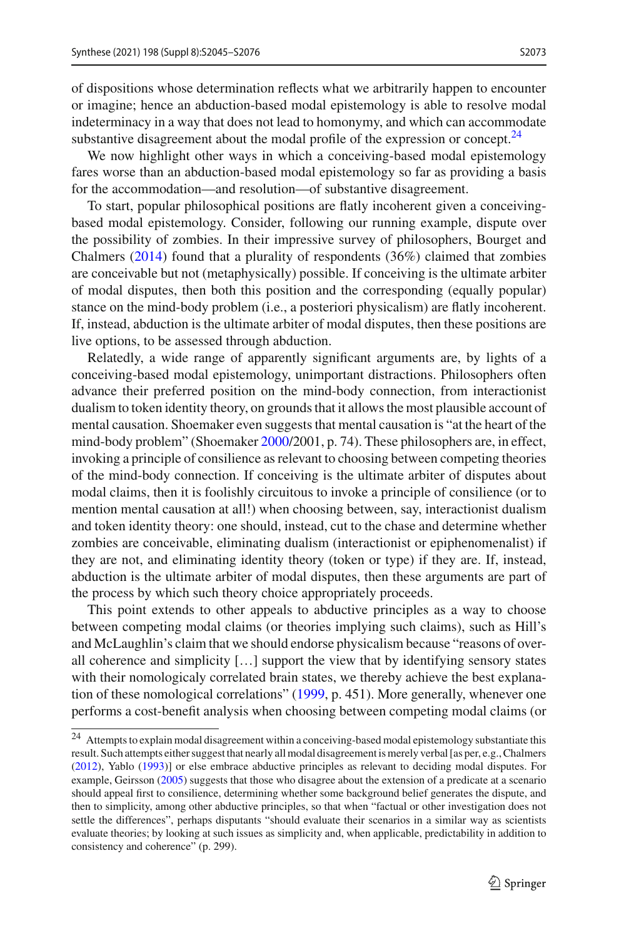of dispositions whose determination reflects what we arbitrarily happen to encounter or imagine; hence an abduction-based modal epistemology is able to resolve modal indeterminacy in a way that does not lead to homonymy, and which can accommodate substantive disagreement about the modal profile of the expression or concept.<sup>24</sup>

We now highlight other ways in which a conceiving-based modal epistemology fares worse than an abduction-based modal epistemology so far as providing a basis for the accommodation—and resolution—of substantive disagreement.

To start, popular philosophical positions are flatly incoherent given a conceivingbased modal epistemology. Consider, following our running example, dispute over the possibility of zombies. In their impressive survey of philosophers, Bourget and Chalmer[s](#page-30-31) [\(2014](#page-30-31)) found that a plurality of respondents (36%) claimed that zombies are conceivable but not (metaphysically) possible. If conceiving is the ultimate arbiter of modal disputes, then both this position and the corresponding (equally popular) stance on the mind-body problem (i.e., a posteriori physicalism) are flatly incoherent. If, instead, abduction is the ultimate arbiter of modal disputes, then these positions are live options, to be assessed through abduction.

Relatedly, a wide range of apparently significant arguments are, by lights of a conceiving-based modal epistemology, unimportant distractions. Philosophers often advance their preferred position on the mind-body connection, from interactionist dualism to token identity theory, on grounds that it allows the most plausible account of mental causation. Shoemaker even suggests that mental causation is "at the heart of the mind-body problem" (Shoemake[r](#page-31-32) [2000](#page-31-32)/2001, p. 74). These philosophers are, in effect, invoking a principle of consilience as relevant to choosing between competing theories of the mind-body connection. If conceiving is the ultimate arbiter of disputes about modal claims, then it is foolishly circuitous to invoke a principle of consilience (or to mention mental causation at all!) when choosing between, say, interactionist dualism and token identity theory: one should, instead, cut to the chase and determine whether zombies are conceivable, eliminating dualism (interactionist or epiphenomenalist) if they are not, and eliminating identity theory (token or type) if they are. If, instead, abduction is the ultimate arbiter of modal disputes, then these arguments are part of the process by which such theory choice appropriately proceeds.

This point extends to other appeals to abductive principles as a way to choose between competing modal claims (or theories implying such claims), such as Hill's and McLaughlin's claim that we should endorse physicalism because "reasons of overall coherence and simplicity […] support the view that by identifying sensory states with their nomologicaly correlated brain states, we thereby achieve the best explanation of these nomological correlations" [\(1999,](#page-31-33) p. 451). More generally, whenever one performs a cost-benefit analysis when choosing between competing modal claims (or

<span id="page-28-0"></span><sup>&</sup>lt;sup>24</sup> Attempts to explain modal disagreement within a conceiving-based modal epistemology substantiate this result. Such attempts either suggest that nearly all modal disagreement is merely verbal [as per, e.g., Chalmer[s](#page-30-10) [\(2012](#page-30-10)), Yabl[o](#page-31-5) [\(1993\)](#page-31-5)] or else embrace abductive principles as relevant to deciding modal disputes. For example, Geirsso[n](#page-30-32) [\(2005](#page-30-32)) suggests that those who disagree about the extension of a predicate at a scenario should appeal first to consilience, determining whether some background belief generates the dispute, and then to simplicity, among other abductive principles, so that when "factual or other investigation does not settle the differences", perhaps disputants "should evaluate their scenarios in a similar way as scientists evaluate theories; by looking at such issues as simplicity and, when applicable, predictability in addition to consistency and coherence" (p. 299).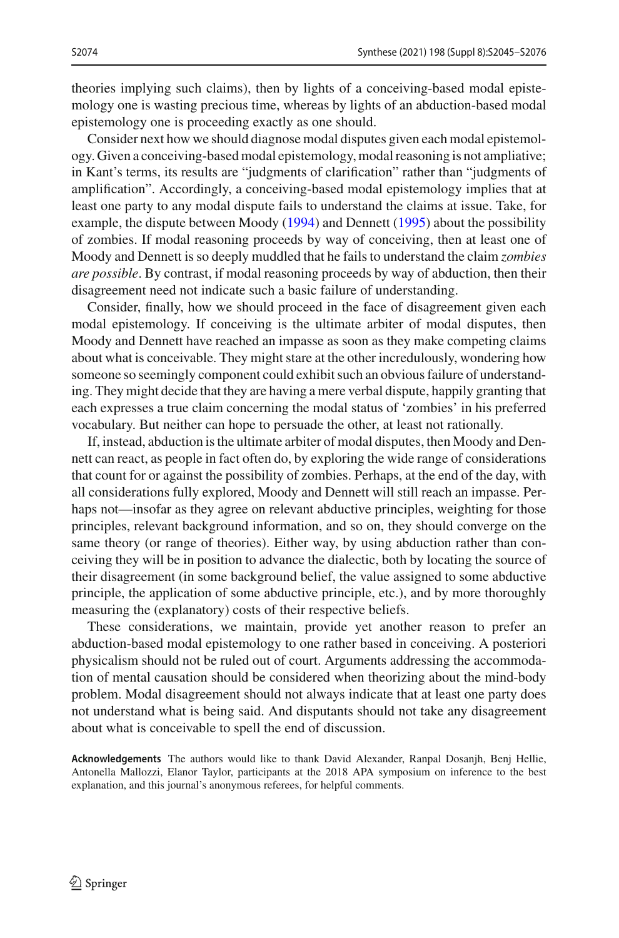theories implying such claims), then by lights of a conceiving-based modal epistemology one is wasting precious time, whereas by lights of an abduction-based modal epistemology one is proceeding exactly as one should.

Consider next how we should diagnose modal disputes given each modal epistemology. Given a conceiving-based modal epistemology, modal reasoning is not ampliative; in Kant's terms, its results are "judgments of clarification" rather than "judgments of amplification". Accordingly, a conceiving-based modal epistemology implies that at least one party to any modal dispute fails to understand the claims at issue. Take, for example, the dispute between Mood[y](#page-31-34) [\(1994\)](#page-31-34) and Dennet[t](#page-30-33) [\(1995\)](#page-30-33) about the possibility of zombies. If modal reasoning proceeds by way of conceiving, then at least one of Moody and Dennett is so deeply muddled that he fails to understand the claim *zombies are possible*. By contrast, if modal reasoning proceeds by way of abduction, then their disagreement need not indicate such a basic failure of understanding.

Consider, finally, how we should proceed in the face of disagreement given each modal epistemology. If conceiving is the ultimate arbiter of modal disputes, then Moody and Dennett have reached an impasse as soon as they make competing claims about what is conceivable. They might stare at the other incredulously, wondering how someone so seemingly component could exhibit such an obvious failure of understanding. They might decide that they are having a mere verbal dispute, happily granting that each expresses a true claim concerning the modal status of 'zombies' in his preferred vocabulary. But neither can hope to persuade the other, at least not rationally.

If, instead, abduction is the ultimate arbiter of modal disputes, then Moody and Dennett can react, as people in fact often do, by exploring the wide range of considerations that count for or against the possibility of zombies. Perhaps, at the end of the day, with all considerations fully explored, Moody and Dennett will still reach an impasse. Perhaps not—insofar as they agree on relevant abductive principles, weighting for those principles, relevant background information, and so on, they should converge on the same theory (or range of theories). Either way, by using abduction rather than conceiving they will be in position to advance the dialectic, both by locating the source of their disagreement (in some background belief, the value assigned to some abductive principle, the application of some abductive principle, etc.), and by more thoroughly measuring the (explanatory) costs of their respective beliefs.

These considerations, we maintain, provide yet another reason to prefer an abduction-based modal epistemology to one rather based in conceiving. A posteriori physicalism should not be ruled out of court. Arguments addressing the accommodation of mental causation should be considered when theorizing about the mind-body problem. Modal disagreement should not always indicate that at least one party does not understand what is being said. And disputants should not take any disagreement about what is conceivable to spell the end of discussion.

**Acknowledgements** The authors would like to thank David Alexander, Ranpal Dosanjh, Benj Hellie, Antonella Mallozzi, Elanor Taylor, participants at the 2018 APA symposium on inference to the best explanation, and this journal's anonymous referees, for helpful comments.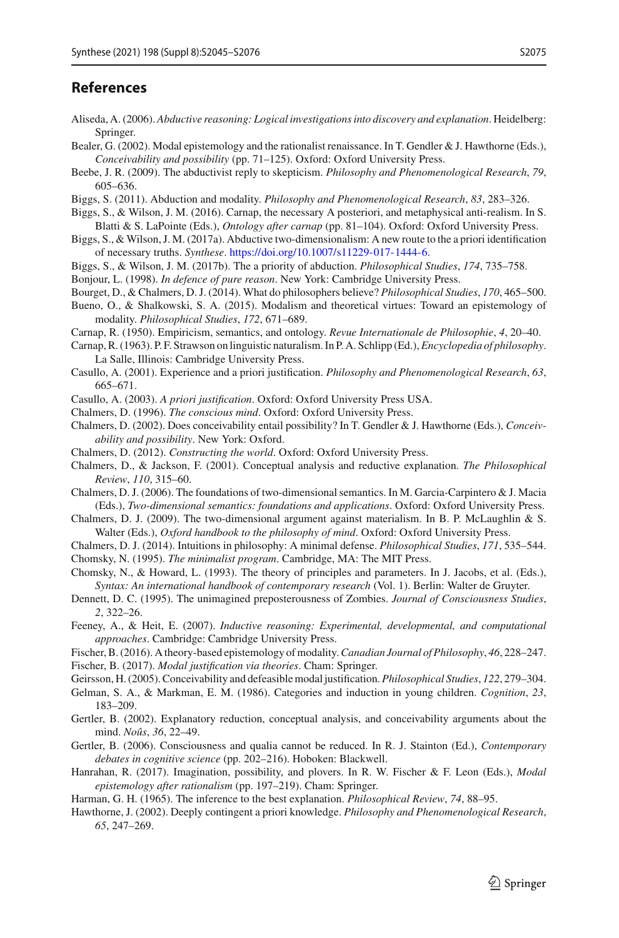### **References**

- <span id="page-30-21"></span>Aliseda, A. (2006). *Abductive reasoning: Logical investigations into discovery and explanation*. Heidelberg: Springer.
- <span id="page-30-11"></span>Bealer, G. (2002). Modal epistemology and the rationalist renaissance. In T. Gendler & J. Hawthorne (Eds.), *Conceivability and possibility* (pp. 71–125). Oxford: Oxford University Press.
- <span id="page-30-24"></span>Beebe, J. R. (2009). The abductivist reply to skepticism. *Philosophy and Phenomenological Research*, *79*, 605–636.
- <span id="page-30-0"></span>Biggs, S. (2011). Abduction and modality. *Philosophy and Phenomenological Research*, *83*, 283–326.
- <span id="page-30-1"></span>Biggs, S., & Wilson, J. M. (2016). Carnap, the necessary A posteriori, and metaphysical anti-realism. In S. Blatti & S. LaPointe (Eds.), *Ontology after carnap* (pp. 81–104). Oxford: Oxford University Press.
- <span id="page-30-2"></span>Biggs, S., & Wilson, J. M. (2017a). Abductive two-dimensionalism: A new route to the a priori identification of necessary truths. *Synthese*. [https://doi.org/10.1007/s11229-017-1444-6.](https://doi.org/10.1007/s11229-017-1444-6)
- <span id="page-30-3"></span>Biggs, S., & Wilson, J. M. (2017b). The a priority of abduction. *Philosophical Studies*, *174*, 735–758.

<span id="page-30-12"></span>Bonjour, L. (1998). *In defence of pure reason*. New York: Cambridge University Press.

- <span id="page-30-31"></span>Bourget, D., & Chalmers, D. J. (2014). What do philosophers believe? *Philosophical Studies*, *170*, 465–500.
- <span id="page-30-15"></span>Bueno, O., & Shalkowski, S. A. (2015). Modalism and theoretical virtues: Toward an epistemology of modality. *Philosophical Studies*, *172*, 671–689.
- <span id="page-30-22"></span>Carnap, R. (1950). Empiricism, semantics, and ontology. *Revue Internationale de Philosophie*, *4*, 20–40.
- <span id="page-30-23"></span>Carnap, R. (1963). P. F. Strawson on linguistic naturalism. In P. A. Schlipp (Ed.),*Encyclopedia of philosophy*. La Salle, Illinois: Cambridge University Press.
- <span id="page-30-19"></span>Casullo, A. (2001). Experience and a priori justification. *Philosophy and Phenomenological Research*, *63*, 665–671.

<span id="page-30-20"></span>Casullo, A. (2003). *A priori justification*. Oxford: Oxford University Press USA.

- <span id="page-30-5"></span>Chalmers, D. (1996). *The conscious mind*. Oxford: Oxford University Press.
- <span id="page-30-6"></span>Chalmers, D. (2002). Does conceivability entail possibility? In T. Gendler & J. Hawthorne (Eds.), *Conceivability and possibility*. New York: Oxford.
- <span id="page-30-10"></span>Chalmers, D. (2012). *Constructing the world*. Oxford: Oxford University Press.
- <span id="page-30-8"></span>Chalmers, D., & Jackson, F. (2001). Conceptual analysis and reductive explanation. *The Philosophical Review*, *110*, 315–60.
- <span id="page-30-13"></span>Chalmers, D. J. (2006). The foundations of two-dimensional semantics. In M. Garcia-Carpintero & J. Macia (Eds.), *Two-dimensional semantics: foundations and applications*. Oxford: Oxford University Press.
- <span id="page-30-14"></span>Chalmers, D. J. (2009). The two-dimensional argument against materialism. In B. P. McLaughlin & S. Walter (Eds.), *Oxford handbook to the philosophy of mind*. Oxford: Oxford University Press.
- <span id="page-30-30"></span>Chalmers, D. J. (2014). Intuitions in philosophy: A minimal defense. *Philosophical Studies*, *171*, 535–544. Chomsky, N. (1995). *The minimalist program*. Cambridge, MA: The MIT Press.
- <span id="page-30-29"></span><span id="page-30-28"></span>Chomsky, N., & Howard, L. (1993). The theory of principles and parameters. In J. Jacobs, et al. (Eds.), *Syntax: An international handbook of contemporary research* (Vol. 1). Berlin: Walter de Gruyter.
- <span id="page-30-33"></span>Dennett, D. C. (1995). The unimagined preposterousness of Zombies. *Journal of Consciousness Studies*, *2*, 322–26.
- <span id="page-30-26"></span>Feeney, A., & Heit, E. (2007). *Inductive reasoning: Experimental, developmental, and computational approaches*. Cambridge: Cambridge University Press.
- <span id="page-30-16"></span>Fischer, B. (2016). A theory-based epistemology of modality.*Canadian Journal of Philosophy*, *46*, 228–247.
- <span id="page-30-17"></span>Fischer, B. (2017). *Modal justification via theories*. Cham: Springer.
- <span id="page-30-32"></span>Geirsson, H. (2005). Conceivability and defeasible modal justification.*Philosophical Studies*, *122*, 279–304.
- <span id="page-30-27"></span>Gelman, S. A., & Markman, E. M. (1986). Categories and induction in young children. *Cognition*, *23*, 183–209.
- <span id="page-30-9"></span>Gertler, B. (2002). Explanatory reduction, conceptual analysis, and conceivability arguments about the mind. *Noûs*, *36*, 22–49.
- <span id="page-30-7"></span>Gertler, B. (2006). Consciousness and qualia cannot be reduced. In R. J. Stainton (Ed.), *Contemporary debates in cognitive science* (pp. 202–216). Hoboken: Blackwell.
- <span id="page-30-18"></span>Hanrahan, R. (2017). Imagination, possibility, and plovers. In R. W. Fischer & F. Leon (Eds.), *Modal epistemology after rationalism* (pp. 197–219). Cham: Springer.
- <span id="page-30-4"></span>Harman, G. H. (1965). The inference to the best explanation. *Philosophical Review*, *74*, 88–95.
- <span id="page-30-25"></span>Hawthorne, J. (2002). Deeply contingent a priori knowledge. *Philosophy and Phenomenological Research*, *65*, 247–269.